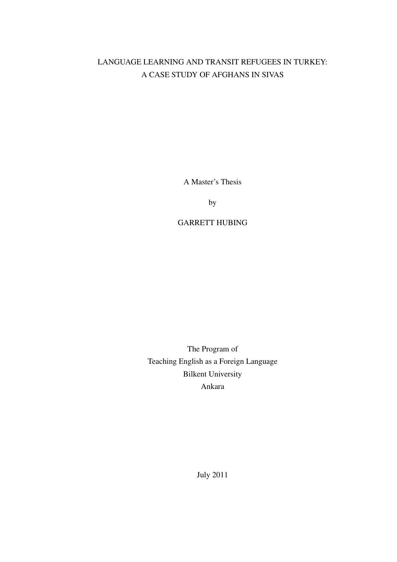# LANGUAGE LEARNING AND TRANSIT REFUGEES IN TURKEY: A CASE STUDY OF AFGHANS IN SIVAS

A Master's Thesis

by

# GARRETT HUBING

The Program of Teaching English as a Foreign Language Bilkent University Ankara

July 2011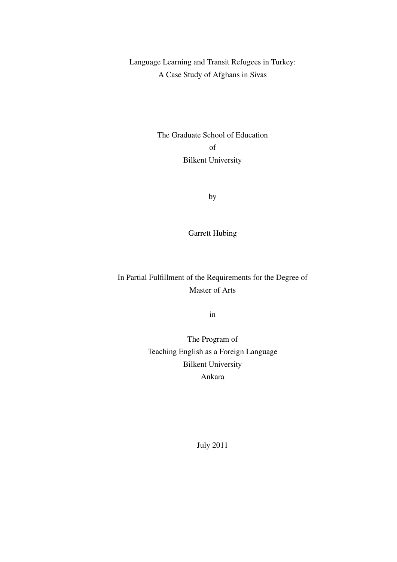Language Learning and Transit Refugees in Turkey: A Case Study of Afghans in Sivas

> The Graduate School of Education of Bilkent University

> > by

Garrett Hubing

In Partial Fulfillment of the Requirements for the Degree of Master of Arts

in

The Program of Teaching English as a Foreign Language Bilkent University Ankara

July 2011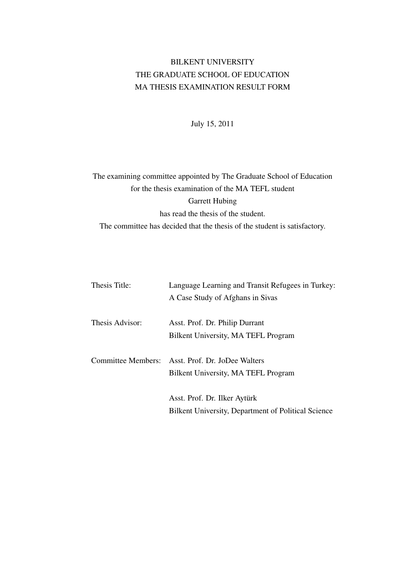# BILKENT UNIVERSITY THE GRADUATE SCHOOL OF EDUCATION MA THESIS EXAMINATION RESULT FORM

July 15, 2011

# The examining committee appointed by The Graduate School of Education for the thesis examination of the MA TEFL student Garrett Hubing has read the thesis of the student. The committee has decided that the thesis of the student is satisfactory.

| Thesis Title:   | Language Learning and Transit Refugees in Turkey:   |
|-----------------|-----------------------------------------------------|
|                 | A Case Study of Afghans in Sivas                    |
| Thesis Advisor: | Asst. Prof. Dr. Philip Durrant                      |
|                 | Bilkent University, MA TEFL Program                 |
|                 | Committee Members: Asst. Prof. Dr. JoDee Walters    |
|                 | Bilkent University, MA TEFL Program                 |
|                 | Asst. Prof. Dr. Ilker Aytürk                        |
|                 | Bilkent University, Department of Political Science |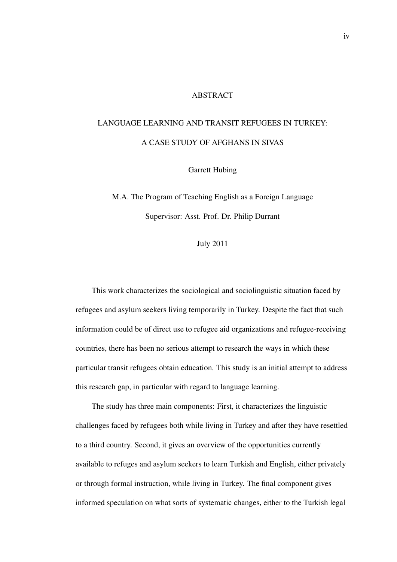# ABSTRACT

# LANGUAGE LEARNING AND TRANSIT REFUGEES IN TURKEY: A CASE STUDY OF AFGHANS IN SIVAS

Garrett Hubing

M.A. The Program of Teaching English as a Foreign Language Supervisor: Asst. Prof. Dr. Philip Durrant

July 2011

This work characterizes the sociological and sociolinguistic situation faced by refugees and asylum seekers living temporarily in Turkey. Despite the fact that such information could be of direct use to refugee aid organizations and refugee-receiving countries, there has been no serious attempt to research the ways in which these particular transit refugees obtain education. This study is an initial attempt to address this research gap, in particular with regard to language learning.

The study has three main components: First, it characterizes the linguistic challenges faced by refugees both while living in Turkey and after they have resettled to a third country. Second, it gives an overview of the opportunities currently available to refuges and asylum seekers to learn Turkish and English, either privately or through formal instruction, while living in Turkey. The final component gives informed speculation on what sorts of systematic changes, either to the Turkish legal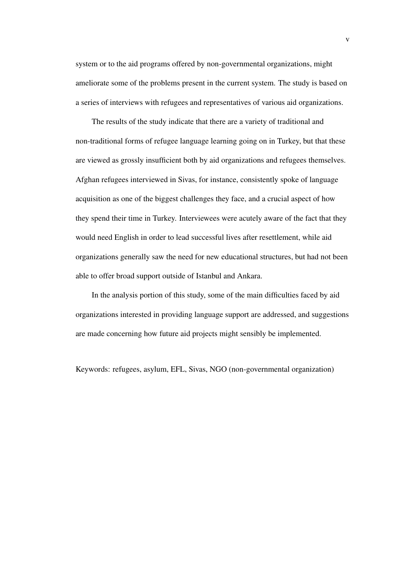system or to the aid programs offered by non-governmental organizations, might ameliorate some of the problems present in the current system. The study is based on a series of interviews with refugees and representatives of various aid organizations.

The results of the study indicate that there are a variety of traditional and non-traditional forms of refugee language learning going on in Turkey, but that these are viewed as grossly insufficient both by aid organizations and refugees themselves. Afghan refugees interviewed in Sivas, for instance, consistently spoke of language acquisition as one of the biggest challenges they face, and a crucial aspect of how they spend their time in Turkey. Interviewees were acutely aware of the fact that they would need English in order to lead successful lives after resettlement, while aid organizations generally saw the need for new educational structures, but had not been able to offer broad support outside of Istanbul and Ankara.

In the analysis portion of this study, some of the main difficulties faced by aid organizations interested in providing language support are addressed, and suggestions are made concerning how future aid projects might sensibly be implemented.

Keywords: refugees, asylum, EFL, Sivas, NGO (non-governmental organization)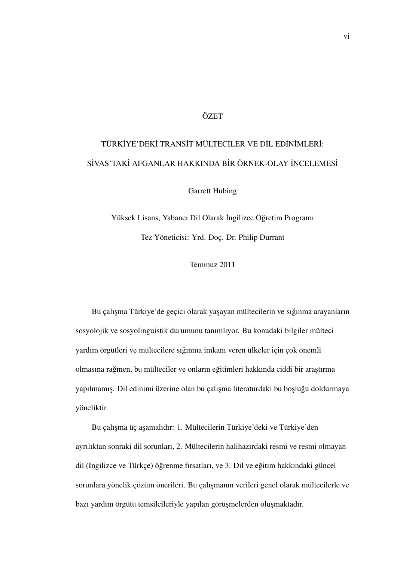# **ÖZET**

# TÜRKİYE'DEKİ TRANSİT MÜLTECİLER VE DİL EDİNİMLERİ: SİVAS'TAKİ AFGANLAR HAKKINDA BİR ÖRNEK-OLAY İNCELEMESİ

Garrett Hubing

Yüksek Lisans, Yabancı Dil Olarak İngilizce Öğretim Programı Tez Yöneticisi: Yrd. Doç. Dr. Philip Durrant

Temmuz 2011

Bu çalışma Türkiye'de geçici olarak yaşayan mültecilerin ve sığınma arayanların sosyolojik ve sosyolinguistik durumunu tanımlıyor. Bu konudaki bilgiler mülteci yardım örgütleri ve mültecilere sıgınma imkanı veren ülkeler için çok önemli ˘ olmasına rağmen, bu mülteciler ve onların eğitimleri hakkında ciddi bir araştırma yapılmamış. Dil edinimi üzerine olan bu çalışma literaturdaki bu boşluğu doldurmaya yöneliktir.

Bu çalışma üç aşamalıdır: 1. Mültecilerin Türkiye'deki ve Türkiye'den ayrılıktan sonraki dil sorunları, 2. Mültecilerin halihazırdaki resmi ve resmi olmayan dil (Ingilizce ve Türkçe) öğrenme firsatları, ve 3. Dil ve eğitim hakkındaki güncel sorunlara yönelik çözüm önerileri. Bu çalışmanın verileri genel olarak mültecilerle ve bazı yardım örgütü temsilcileriyle yapılan görüşmelerden oluşmaktadır.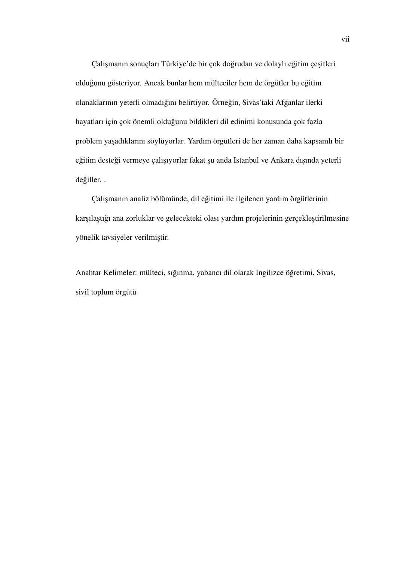Çalışmanın sonuçları Türkiye'de bir çok doğrudan ve dolaylı eğitim çeşitleri olduğunu gösteriyor. Ancak bunlar hem mülteciler hem de örgütler bu eğitim olanaklarının yeterli olmadığını belirtiyor. Örneğin, Sivas'taki Afganlar ilerki hayatları için çok önemli oldugunu bildikleri dil edinimi konusunda çok fazla ˘ problem ya¸sadıklarını söylüyorlar. Yardım örgütleri de her zaman daha kapsamlı bir eğitim desteği vermeye çalışıyorlar fakat şu anda Istanbul ve Ankara dışında yeterli değiller..

Çalışmanın analiz bölümünde, dil eğitimi ile ilgilenen yardım örgütlerinin karşılaştığı ana zorluklar ve gelecekteki olası yardım projelerinin gerçekleştirilmesine yönelik tavsiyeler verilmiştir.

Anahtar Kelimeler: mülteci, sığınma, yabancı dil olarak İngilizce öğretimi, Sivas, sivil toplum örgütü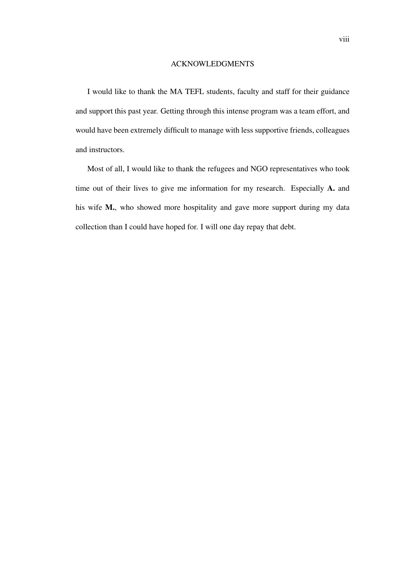#### ACKNOWLEDGMENTS

I would like to thank the MA TEFL students, faculty and staff for their guidance and support this past year. Getting through this intense program was a team effort, and would have been extremely difficult to manage with less supportive friends, colleagues and instructors.

Most of all, I would like to thank the refugees and NGO representatives who took time out of their lives to give me information for my research. Especially A. and his wife M., who showed more hospitality and gave more support during my data collection than I could have hoped for. I will one day repay that debt.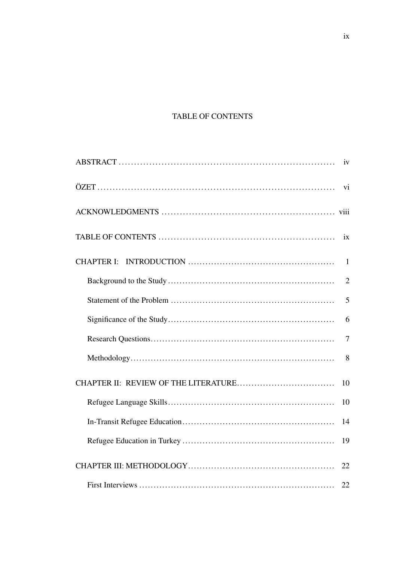# TABLE OF CONTENTS

|                   | iv             |
|-------------------|----------------|
|                   | vi             |
|                   |                |
|                   | ix             |
| <b>CHAPTER I:</b> | $\mathbf{1}$   |
|                   | $\overline{2}$ |
|                   | 5              |
|                   | 6              |
|                   | 7              |
|                   | 8              |
|                   | 10             |
|                   | 10             |
|                   | 14             |
|                   | 19             |
|                   | 22             |
|                   | 22             |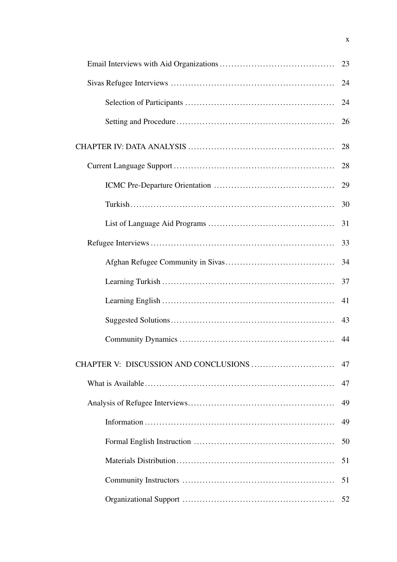| 23 |
|----|
| 24 |
| 24 |
| 26 |
| 28 |
| 28 |
| 29 |
| 30 |
| 31 |
| 33 |
| 34 |
| 37 |
| 41 |
| 43 |
| 44 |
| 47 |
| 47 |
| 49 |
| 49 |
| 50 |
| 51 |
| 51 |
| 52 |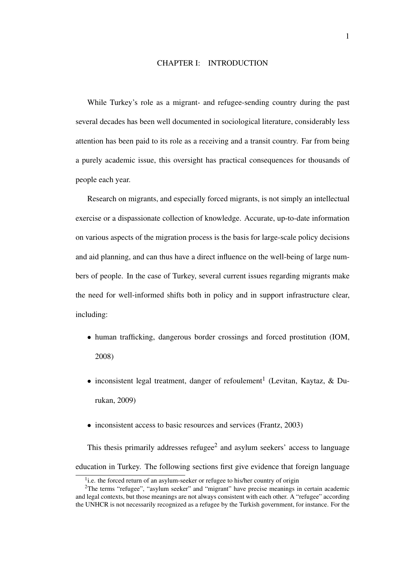# CHAPTER I: INTRODUCTION

While Turkey's role as a migrant- and refugee-sending country during the past several decades has been well documented in sociological literature, considerably less attention has been paid to its role as a receiving and a transit country. Far from being a purely academic issue, this oversight has practical consequences for thousands of people each year.

Research on migrants, and especially forced migrants, is not simply an intellectual exercise or a dispassionate collection of knowledge. Accurate, up-to-date information on various aspects of the migration process is the basis for large-scale policy decisions and aid planning, and can thus have a direct influence on the well-being of large numbers of people. In the case of Turkey, several current issues regarding migrants make the need for well-informed shifts both in policy and in support infrastructure clear, including:

- human trafficking, dangerous border crossings and forced prostitution (IOM, 2008)
- inconsistent legal treatment, danger of refoulement<sup>1</sup> (Levitan, Kaytaz, & Durukan, 2009)
- inconsistent access to basic resources and services (Frantz, 2003)

This thesis primarily addresses refugee<sup>2</sup> and asylum seekers' access to language education in Turkey. The following sections first give evidence that foreign language

<sup>&</sup>lt;sup>1</sup>i.e. the forced return of an asylum-seeker or refugee to his/her country of origin

<sup>&</sup>lt;sup>2</sup>The terms "refugee", "asylum seeker" and "migrant" have precise meanings in certain academic and legal contexts, but those meanings are not always consistent with each other. A "refugee" according the UNHCR is not necessarily recognized as a refugee by the Turkish government, for instance. For the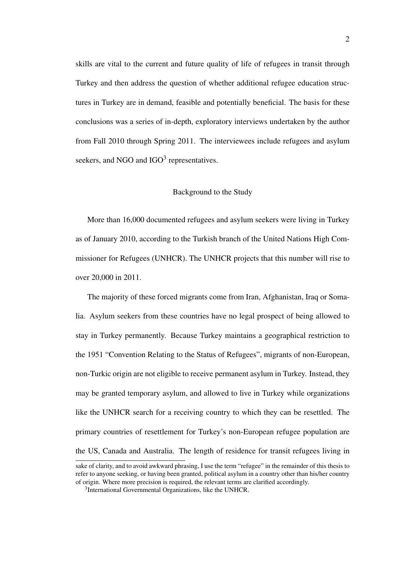skills are vital to the current and future quality of life of refugees in transit through Turkey and then address the question of whether additional refugee education structures in Turkey are in demand, feasible and potentially beneficial. The basis for these conclusions was a series of in-depth, exploratory interviews undertaken by the author from Fall 2010 through Spring 2011. The interviewees include refugees and asylum seekers, and NGO and  $IGO<sup>3</sup>$  representatives.

# Background to the Study

More than 16,000 documented refugees and asylum seekers were living in Turkey as of January 2010, according to the Turkish branch of the United Nations High Commissioner for Refugees (UNHCR). The UNHCR projects that this number will rise to over 20,000 in 2011.

The majority of these forced migrants come from Iran, Afghanistan, Iraq or Somalia. Asylum seekers from these countries have no legal prospect of being allowed to stay in Turkey permanently. Because Turkey maintains a geographical restriction to the 1951 "Convention Relating to the Status of Refugees", migrants of non-European, non-Turkic origin are not eligible to receive permanent asylum in Turkey. Instead, they may be granted temporary asylum, and allowed to live in Turkey while organizations like the UNHCR search for a receiving country to which they can be resettled. The primary countries of resettlement for Turkey's non-European refugee population are the US, Canada and Australia. The length of residence for transit refugees living in

sake of clarity, and to avoid awkward phrasing, I use the term "refugee" in the remainder of this thesis to refer to anyone seeking, or having been granted, political asylum in a country other than his/her country of origin. Where more precision is required, the relevant terms are clarified accordingly.

<sup>3</sup> International Governmental Organizations, like the UNHCR.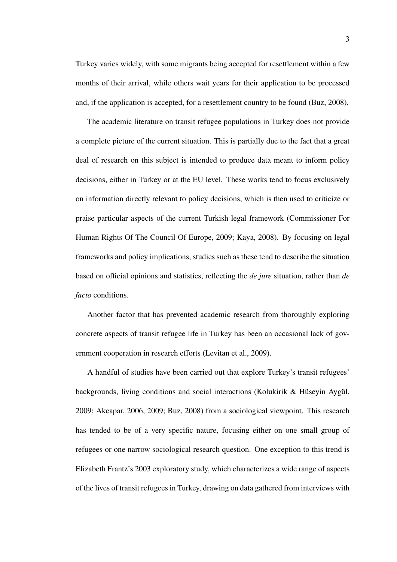Turkey varies widely, with some migrants being accepted for resettlement within a few months of their arrival, while others wait years for their application to be processed and, if the application is accepted, for a resettlement country to be found (Buz, 2008).

The academic literature on transit refugee populations in Turkey does not provide a complete picture of the current situation. This is partially due to the fact that a great deal of research on this subject is intended to produce data meant to inform policy decisions, either in Turkey or at the EU level. These works tend to focus exclusively on information directly relevant to policy decisions, which is then used to criticize or praise particular aspects of the current Turkish legal framework (Commissioner For Human Rights Of The Council Of Europe, 2009; Kaya, 2008). By focusing on legal frameworks and policy implications, studies such as these tend to describe the situation based on official opinions and statistics, reflecting the *de jure* situation, rather than *de facto* conditions.

Another factor that has prevented academic research from thoroughly exploring concrete aspects of transit refugee life in Turkey has been an occasional lack of government cooperation in research efforts (Levitan et al., 2009).

A handful of studies have been carried out that explore Turkey's transit refugees' backgrounds, living conditions and social interactions (Kolukirik & Hüseyin Aygül, 2009; Akcapar, 2006, 2009; Buz, 2008) from a sociological viewpoint. This research has tended to be of a very specific nature, focusing either on one small group of refugees or one narrow sociological research question. One exception to this trend is Elizabeth Frantz's 2003 exploratory study, which characterizes a wide range of aspects of the lives of transit refugees in Turkey, drawing on data gathered from interviews with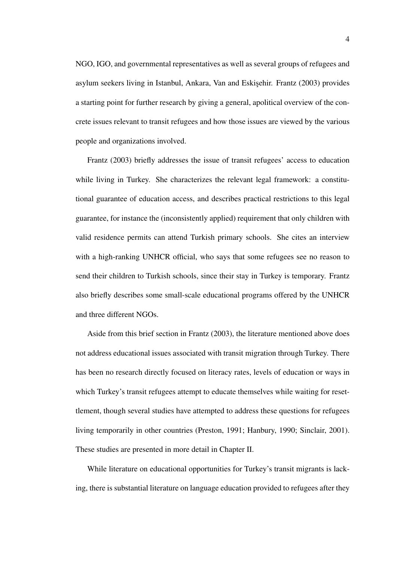NGO, IGO, and governmental representatives as well as several groups of refugees and asylum seekers living in Istanbul, Ankara, Van and Eskişehir. Frantz (2003) provides a starting point for further research by giving a general, apolitical overview of the concrete issues relevant to transit refugees and how those issues are viewed by the various people and organizations involved.

Frantz (2003) briefly addresses the issue of transit refugees' access to education while living in Turkey. She characterizes the relevant legal framework: a constitutional guarantee of education access, and describes practical restrictions to this legal guarantee, for instance the (inconsistently applied) requirement that only children with valid residence permits can attend Turkish primary schools. She cites an interview with a high-ranking UNHCR official, who says that some refugees see no reason to send their children to Turkish schools, since their stay in Turkey is temporary. Frantz also briefly describes some small-scale educational programs offered by the UNHCR and three different NGOs.

Aside from this brief section in Frantz (2003), the literature mentioned above does not address educational issues associated with transit migration through Turkey. There has been no research directly focused on literacy rates, levels of education or ways in which Turkey's transit refugees attempt to educate themselves while waiting for resettlement, though several studies have attempted to address these questions for refugees living temporarily in other countries (Preston, 1991; Hanbury, 1990; Sinclair, 2001). These studies are presented in more detail in Chapter II.

While literature on educational opportunities for Turkey's transit migrants is lacking, there is substantial literature on language education provided to refugees after they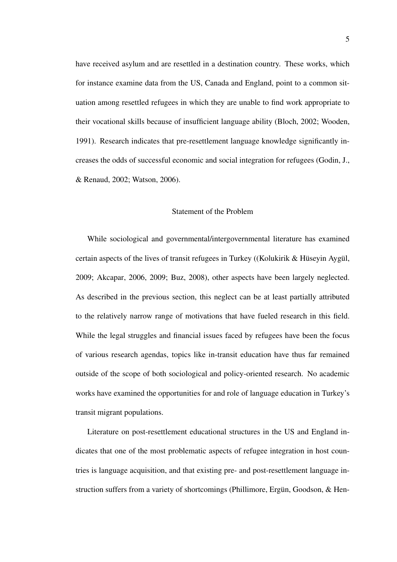have received asylum and are resettled in a destination country. These works, which for instance examine data from the US, Canada and England, point to a common situation among resettled refugees in which they are unable to find work appropriate to their vocational skills because of insufficient language ability (Bloch, 2002; Wooden, 1991). Research indicates that pre-resettlement language knowledge significantly increases the odds of successful economic and social integration for refugees (Godin, J., & Renaud, 2002; Watson, 2006).

#### Statement of the Problem

While sociological and governmental/intergovernmental literature has examined certain aspects of the lives of transit refugees in Turkey ((Kolukirik & Hüseyin Aygül, 2009; Akcapar, 2006, 2009; Buz, 2008), other aspects have been largely neglected. As described in the previous section, this neglect can be at least partially attributed to the relatively narrow range of motivations that have fueled research in this field. While the legal struggles and financial issues faced by refugees have been the focus of various research agendas, topics like in-transit education have thus far remained outside of the scope of both sociological and policy-oriented research. No academic works have examined the opportunities for and role of language education in Turkey's transit migrant populations.

Literature on post-resettlement educational structures in the US and England indicates that one of the most problematic aspects of refugee integration in host countries is language acquisition, and that existing pre- and post-resettlement language instruction suffers from a variety of shortcomings (Phillimore, Ergün, Goodson, & Hen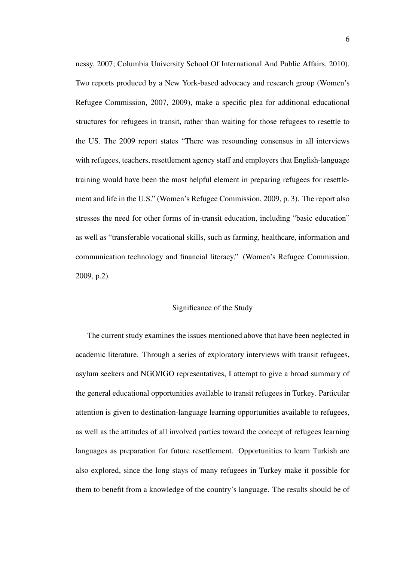nessy, 2007; Columbia University School Of International And Public Affairs, 2010). Two reports produced by a New York-based advocacy and research group (Women's Refugee Commission, 2007, 2009), make a specific plea for additional educational structures for refugees in transit, rather than waiting for those refugees to resettle to the US. The 2009 report states "There was resounding consensus in all interviews with refugees, teachers, resettlement agency staff and employers that English-language training would have been the most helpful element in preparing refugees for resettlement and life in the U.S." (Women's Refugee Commission, 2009, p. 3). The report also stresses the need for other forms of in-transit education, including "basic education" as well as "transferable vocational skills, such as farming, healthcare, information and communication technology and financial literacy." (Women's Refugee Commission, 2009, p.2).

# Significance of the Study

The current study examines the issues mentioned above that have been neglected in academic literature. Through a series of exploratory interviews with transit refugees, asylum seekers and NGO/IGO representatives, I attempt to give a broad summary of the general educational opportunities available to transit refugees in Turkey. Particular attention is given to destination-language learning opportunities available to refugees, as well as the attitudes of all involved parties toward the concept of refugees learning languages as preparation for future resettlement. Opportunities to learn Turkish are also explored, since the long stays of many refugees in Turkey make it possible for them to benefit from a knowledge of the country's language. The results should be of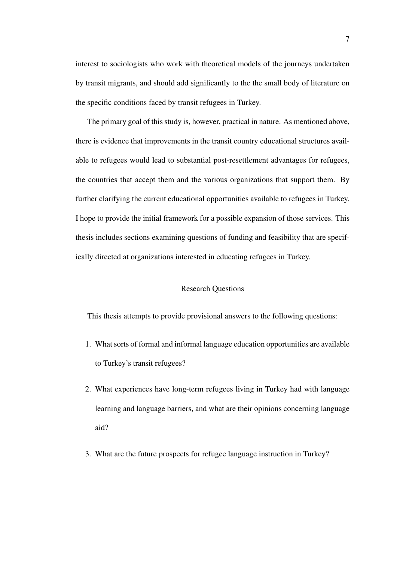interest to sociologists who work with theoretical models of the journeys undertaken by transit migrants, and should add significantly to the the small body of literature on the specific conditions faced by transit refugees in Turkey.

The primary goal of this study is, however, practical in nature. As mentioned above, there is evidence that improvements in the transit country educational structures available to refugees would lead to substantial post-resettlement advantages for refugees, the countries that accept them and the various organizations that support them. By further clarifying the current educational opportunities available to refugees in Turkey, I hope to provide the initial framework for a possible expansion of those services. This thesis includes sections examining questions of funding and feasibility that are specifically directed at organizations interested in educating refugees in Turkey.

# Research Questions

This thesis attempts to provide provisional answers to the following questions:

- 1. What sorts of formal and informal language education opportunities are available to Turkey's transit refugees?
- 2. What experiences have long-term refugees living in Turkey had with language learning and language barriers, and what are their opinions concerning language aid?
- 3. What are the future prospects for refugee language instruction in Turkey?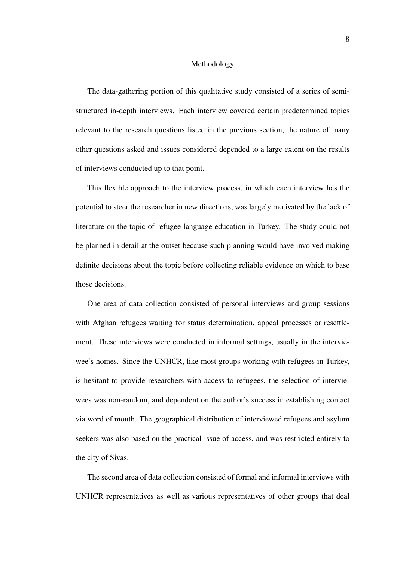#### Methodology

The data-gathering portion of this qualitative study consisted of a series of semistructured in-depth interviews. Each interview covered certain predetermined topics relevant to the research questions listed in the previous section, the nature of many other questions asked and issues considered depended to a large extent on the results of interviews conducted up to that point.

This flexible approach to the interview process, in which each interview has the potential to steer the researcher in new directions, was largely motivated by the lack of literature on the topic of refugee language education in Turkey. The study could not be planned in detail at the outset because such planning would have involved making definite decisions about the topic before collecting reliable evidence on which to base those decisions.

One area of data collection consisted of personal interviews and group sessions with Afghan refugees waiting for status determination, appeal processes or resettlement. These interviews were conducted in informal settings, usually in the interviewee's homes. Since the UNHCR, like most groups working with refugees in Turkey, is hesitant to provide researchers with access to refugees, the selection of interviewees was non-random, and dependent on the author's success in establishing contact via word of mouth. The geographical distribution of interviewed refugees and asylum seekers was also based on the practical issue of access, and was restricted entirely to the city of Sivas.

The second area of data collection consisted of formal and informal interviews with UNHCR representatives as well as various representatives of other groups that deal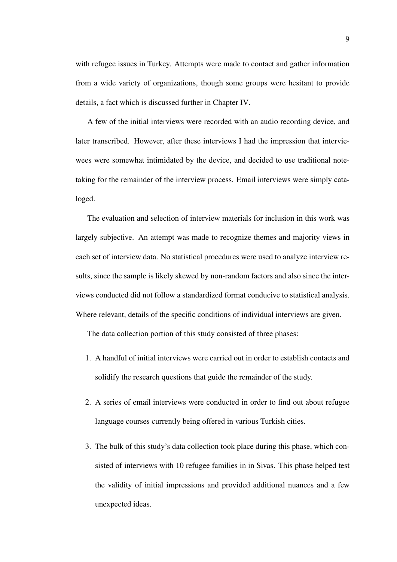with refugee issues in Turkey. Attempts were made to contact and gather information from a wide variety of organizations, though some groups were hesitant to provide details, a fact which is discussed further in Chapter IV.

A few of the initial interviews were recorded with an audio recording device, and later transcribed. However, after these interviews I had the impression that interviewees were somewhat intimidated by the device, and decided to use traditional notetaking for the remainder of the interview process. Email interviews were simply cataloged.

The evaluation and selection of interview materials for inclusion in this work was largely subjective. An attempt was made to recognize themes and majority views in each set of interview data. No statistical procedures were used to analyze interview results, since the sample is likely skewed by non-random factors and also since the interviews conducted did not follow a standardized format conducive to statistical analysis. Where relevant, details of the specific conditions of individual interviews are given.

The data collection portion of this study consisted of three phases:

- 1. A handful of initial interviews were carried out in order to establish contacts and solidify the research questions that guide the remainder of the study.
- 2. A series of email interviews were conducted in order to find out about refugee language courses currently being offered in various Turkish cities.
- 3. The bulk of this study's data collection took place during this phase, which consisted of interviews with 10 refugee families in in Sivas. This phase helped test the validity of initial impressions and provided additional nuances and a few unexpected ideas.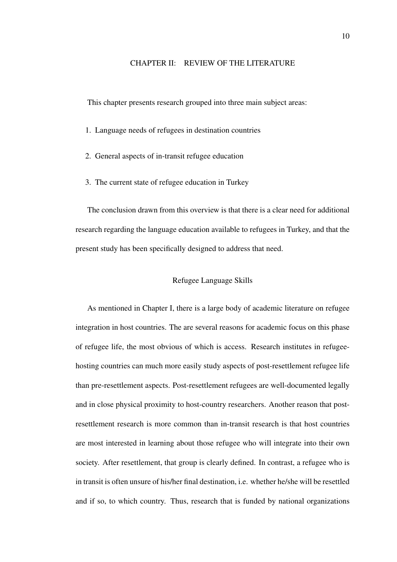# CHAPTER II: REVIEW OF THE LITERATURE

This chapter presents research grouped into three main subject areas:

- 1. Language needs of refugees in destination countries
- 2. General aspects of in-transit refugee education
- 3. The current state of refugee education in Turkey

The conclusion drawn from this overview is that there is a clear need for additional research regarding the language education available to refugees in Turkey, and that the present study has been specifically designed to address that need.

### Refugee Language Skills

As mentioned in Chapter I, there is a large body of academic literature on refugee integration in host countries. The are several reasons for academic focus on this phase of refugee life, the most obvious of which is access. Research institutes in refugeehosting countries can much more easily study aspects of post-resettlement refugee life than pre-resettlement aspects. Post-resettlement refugees are well-documented legally and in close physical proximity to host-country researchers. Another reason that postresettlement research is more common than in-transit research is that host countries are most interested in learning about those refugee who will integrate into their own society. After resettlement, that group is clearly defined. In contrast, a refugee who is in transit is often unsure of his/her final destination, i.e. whether he/she will be resettled and if so, to which country. Thus, research that is funded by national organizations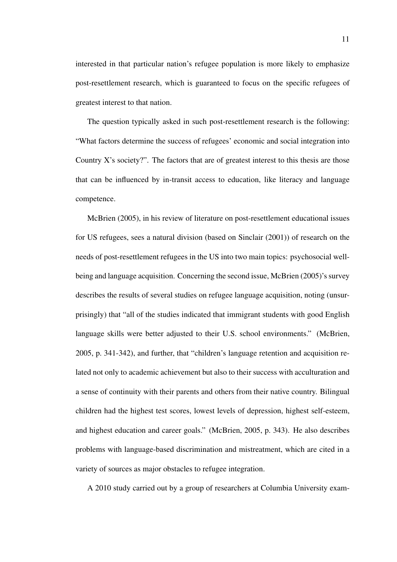interested in that particular nation's refugee population is more likely to emphasize post-resettlement research, which is guaranteed to focus on the specific refugees of greatest interest to that nation.

The question typically asked in such post-resettlement research is the following: "What factors determine the success of refugees' economic and social integration into Country X's society?". The factors that are of greatest interest to this thesis are those that can be influenced by in-transit access to education, like literacy and language competence.

McBrien (2005), in his review of literature on post-resettlement educational issues for US refugees, sees a natural division (based on Sinclair (2001)) of research on the needs of post-resettlement refugees in the US into two main topics: psychosocial wellbeing and language acquisition. Concerning the second issue, McBrien (2005)'s survey describes the results of several studies on refugee language acquisition, noting (unsurprisingly) that "all of the studies indicated that immigrant students with good English language skills were better adjusted to their U.S. school environments." (McBrien, 2005, p. 341-342), and further, that "children's language retention and acquisition related not only to academic achievement but also to their success with acculturation and a sense of continuity with their parents and others from their native country. Bilingual children had the highest test scores, lowest levels of depression, highest self-esteem, and highest education and career goals." (McBrien, 2005, p. 343). He also describes problems with language-based discrimination and mistreatment, which are cited in a variety of sources as major obstacles to refugee integration.

A 2010 study carried out by a group of researchers at Columbia University exam-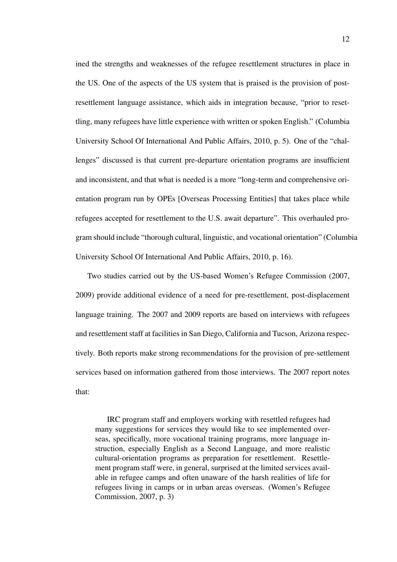ined the strengths and weaknesses of the refugee resettlement structures in place in the US. One of the aspects of the US system that is praised is the provision of postresettlement language assistance, which aids in integration because, "prior to resettling, many refugees have little experience with written or spoken English." (Columbia University School Of International And Public Affairs, 2010, p. 5). One of the "challenges" discussed is that current pre-departure orientation programs are insufficient and inconsistent, and that what is needed is a more "long-term and comprehensive orientation program run by OPEs [Overseas Processing Entities] that takes place while refugees accepted for resettlement to the U.S. await departure". This overhauled program should include "thorough cultural, linguistic, and vocational orientation" (Columbia University School Of International And Public Affairs, 2010, p. 16).

Two studies carried out by the US-based Women's Refugee Commission (2007, 2009) provide additional evidence of a need for pre-resettlement, post-displacement language training. The 2007 and 2009 reports are based on interviews with refugees and resettlement staff at facilities in San Diego, California and Tucson, Arizona respectively. Both reports make strong recommendations for the provision of pre-settlement services based on information gathered from those interviews. The 2007 report notes that:

IRC program staff and employers working with resettled refugees had many suggestions for services they would like to see implemented overseas, specifically, more vocational training programs, more language instruction, especially English as a Second Language, and more realistic cultural-orientation programs as preparation for resettlement. Resettlement program staff were, in general, surprised at the limited services available in refugee camps and often unaware of the harsh realities of life for refugees living in camps or in urban areas overseas. (Women's Refugee Commission, 2007, p. 3)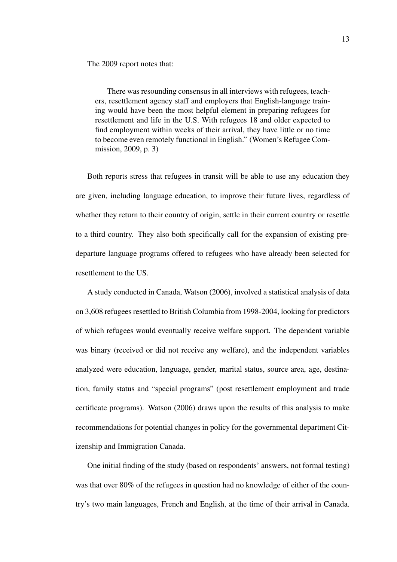The 2009 report notes that:

There was resounding consensus in all interviews with refugees, teachers, resettlement agency staff and employers that English-language training would have been the most helpful element in preparing refugees for resettlement and life in the U.S. With refugees 18 and older expected to find employment within weeks of their arrival, they have little or no time to become even remotely functional in English." (Women's Refugee Commission, 2009, p. 3)

Both reports stress that refugees in transit will be able to use any education they are given, including language education, to improve their future lives, regardless of whether they return to their country of origin, settle in their current country or resettle to a third country. They also both specifically call for the expansion of existing predeparture language programs offered to refugees who have already been selected for resettlement to the US.

A study conducted in Canada, Watson (2006), involved a statistical analysis of data on 3,608 refugees resettled to British Columbia from 1998-2004, looking for predictors of which refugees would eventually receive welfare support. The dependent variable was binary (received or did not receive any welfare), and the independent variables analyzed were education, language, gender, marital status, source area, age, destination, family status and "special programs" (post resettlement employment and trade certificate programs). Watson (2006) draws upon the results of this analysis to make recommendations for potential changes in policy for the governmental department Citizenship and Immigration Canada.

One initial finding of the study (based on respondents' answers, not formal testing) was that over 80% of the refugees in question had no knowledge of either of the country's two main languages, French and English, at the time of their arrival in Canada.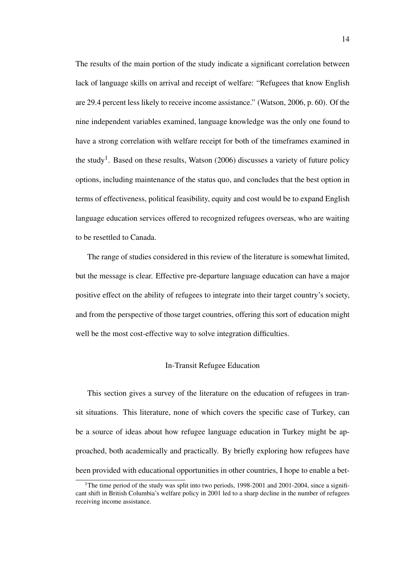The results of the main portion of the study indicate a significant correlation between lack of language skills on arrival and receipt of welfare: "Refugees that know English are 29.4 percent less likely to receive income assistance." (Watson, 2006, p. 60). Of the nine independent variables examined, language knowledge was the only one found to have a strong correlation with welfare receipt for both of the timeframes examined in the study<sup>1</sup>. Based on these results, Watson  $(2006)$  discusses a variety of future policy options, including maintenance of the status quo, and concludes that the best option in terms of effectiveness, political feasibility, equity and cost would be to expand English language education services offered to recognized refugees overseas, who are waiting to be resettled to Canada.

The range of studies considered in this review of the literature is somewhat limited, but the message is clear. Effective pre-departure language education can have a major positive effect on the ability of refugees to integrate into their target country's society, and from the perspective of those target countries, offering this sort of education might well be the most cost-effective way to solve integration difficulties.

### In-Transit Refugee Education

This section gives a survey of the literature on the education of refugees in transit situations. This literature, none of which covers the specific case of Turkey, can be a source of ideas about how refugee language education in Turkey might be approached, both academically and practically. By briefly exploring how refugees have been provided with educational opportunities in other countries, I hope to enable a bet-

<sup>&</sup>lt;sup>1</sup>The time period of the study was split into two periods,  $1998-2001$  and  $2001-2004$ , since a significant shift in British Columbia's welfare policy in 2001 led to a sharp decline in the number of refugees receiving income assistance.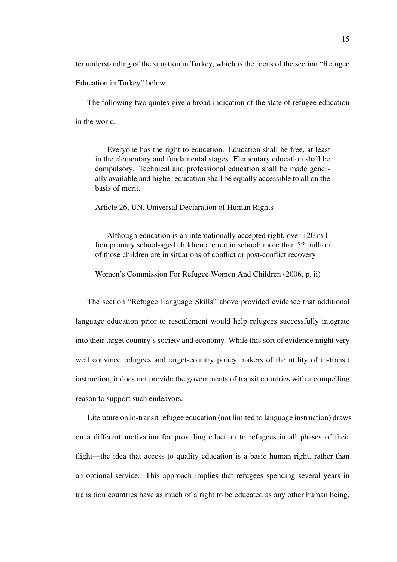ter understanding of the situation in Turkey, which is the focus of the section "Refugee

Education in Turkey" below.

The following two quotes give a broad indication of the state of refugee education in the world.

Everyone has the right to education. Education shall be free, at least in the elementary and fundamental stages. Elementary education shall be compulsory. Technical and professional education shall be made generally available and higher education shall be equally accessible to all on the basis of merit.

Article 26, UN, Universal Declaration of Human Rights

Although education is an internationally accepted right, over 120 million primary school-aged children are not in school; more than 52 million of those children are in situations of conflict or post-conflict recovery

Women's Commission For Refugee Women And Children (2006, p. ii)

The section "Refugee Language Skills" above provided evidence that additional language education prior to resettlement would help refugees successfully integrate into their target country's society and economy. While this sort of evidence might very well convince refugees and target-country policy makers of the utility of in-transit instruction, it does not provide the governments of transit countries with a compelling reason to support such endeavors.

Literature on in-transit refugee education (not limited to language instruction) draws on a different motivation for providing eduction to refugees in all phases of their flight—the idea that access to quality education is a basic human right, rather than an optional service. This approach implies that refugees spending several years in transition countries have as much of a right to be educated as any other human being,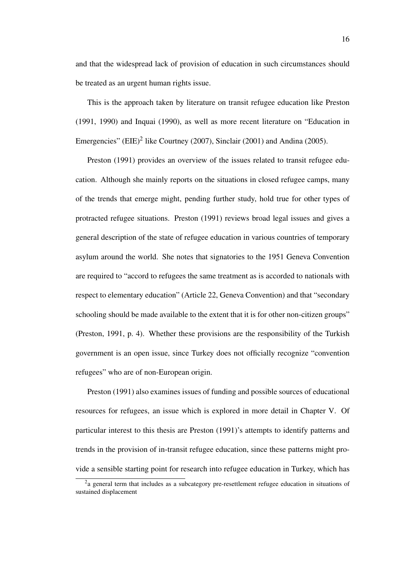and that the widespread lack of provision of education in such circumstances should be treated as an urgent human rights issue.

This is the approach taken by literature on transit refugee education like Preston (1991, 1990) and Inquai (1990), as well as more recent literature on "Education in Emergencies" (EIE)<sup>2</sup> like Courtney (2007), Sinclair (2001) and Andina (2005).

Preston (1991) provides an overview of the issues related to transit refugee education. Although she mainly reports on the situations in closed refugee camps, many of the trends that emerge might, pending further study, hold true for other types of protracted refugee situations. Preston (1991) reviews broad legal issues and gives a general description of the state of refugee education in various countries of temporary asylum around the world. She notes that signatories to the 1951 Geneva Convention are required to "accord to refugees the same treatment as is accorded to nationals with respect to elementary education" (Article 22, Geneva Convention) and that "secondary schooling should be made available to the extent that it is for other non-citizen groups" (Preston, 1991, p. 4). Whether these provisions are the responsibility of the Turkish government is an open issue, since Turkey does not officially recognize "convention refugees" who are of non-European origin.

Preston (1991) also examines issues of funding and possible sources of educational resources for refugees, an issue which is explored in more detail in Chapter V. Of particular interest to this thesis are Preston (1991)'s attempts to identify patterns and trends in the provision of in-transit refugee education, since these patterns might provide a sensible starting point for research into refugee education in Turkey, which has

<sup>&</sup>lt;sup>2</sup>a general term that includes as a subcategory pre-resettlement refugee education in situations of sustained displacement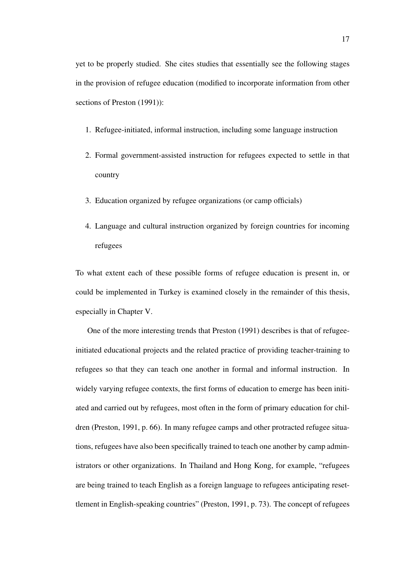yet to be properly studied. She cites studies that essentially see the following stages in the provision of refugee education (modified to incorporate information from other sections of Preston (1991)):

- 1. Refugee-initiated, informal instruction, including some language instruction
- 2. Formal government-assisted instruction for refugees expected to settle in that country
- 3. Education organized by refugee organizations (or camp officials)
- 4. Language and cultural instruction organized by foreign countries for incoming refugees

To what extent each of these possible forms of refugee education is present in, or could be implemented in Turkey is examined closely in the remainder of this thesis, especially in Chapter V.

One of the more interesting trends that Preston (1991) describes is that of refugeeinitiated educational projects and the related practice of providing teacher-training to refugees so that they can teach one another in formal and informal instruction. In widely varying refugee contexts, the first forms of education to emerge has been initiated and carried out by refugees, most often in the form of primary education for children (Preston, 1991, p. 66). In many refugee camps and other protracted refugee situations, refugees have also been specifically trained to teach one another by camp administrators or other organizations. In Thailand and Hong Kong, for example, "refugees are being trained to teach English as a foreign language to refugees anticipating resettlement in English-speaking countries" (Preston, 1991, p. 73). The concept of refugees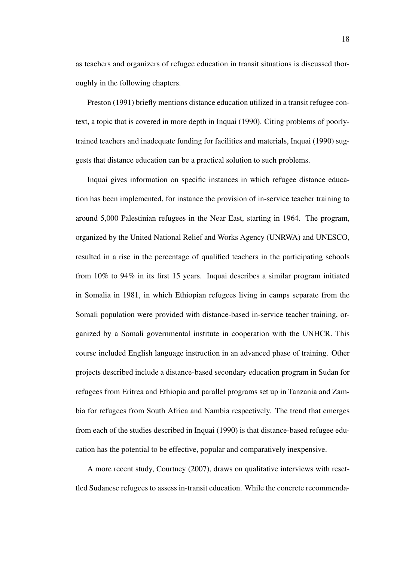as teachers and organizers of refugee education in transit situations is discussed thoroughly in the following chapters.

Preston (1991) briefly mentions distance education utilized in a transit refugee context, a topic that is covered in more depth in Inquai (1990). Citing problems of poorlytrained teachers and inadequate funding for facilities and materials, Inquai (1990) suggests that distance education can be a practical solution to such problems.

Inquai gives information on specific instances in which refugee distance education has been implemented, for instance the provision of in-service teacher training to around 5,000 Palestinian refugees in the Near East, starting in 1964. The program, organized by the United National Relief and Works Agency (UNRWA) and UNESCO, resulted in a rise in the percentage of qualified teachers in the participating schools from 10% to 94% in its first 15 years. Inquai describes a similar program initiated in Somalia in 1981, in which Ethiopian refugees living in camps separate from the Somali population were provided with distance-based in-service teacher training, organized by a Somali governmental institute in cooperation with the UNHCR. This course included English language instruction in an advanced phase of training. Other projects described include a distance-based secondary education program in Sudan for refugees from Eritrea and Ethiopia and parallel programs set up in Tanzania and Zambia for refugees from South Africa and Nambia respectively. The trend that emerges from each of the studies described in Inquai (1990) is that distance-based refugee education has the potential to be effective, popular and comparatively inexpensive.

A more recent study, Courtney (2007), draws on qualitative interviews with resettled Sudanese refugees to assess in-transit education. While the concrete recommenda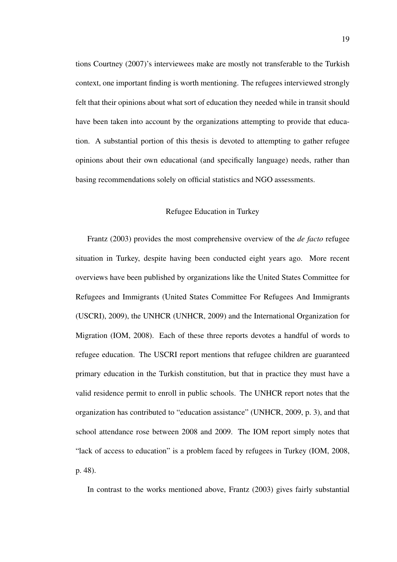tions Courtney (2007)'s interviewees make are mostly not transferable to the Turkish context, one important finding is worth mentioning. The refugees interviewed strongly felt that their opinions about what sort of education they needed while in transit should have been taken into account by the organizations attempting to provide that education. A substantial portion of this thesis is devoted to attempting to gather refugee opinions about their own educational (and specifically language) needs, rather than basing recommendations solely on official statistics and NGO assessments.

# Refugee Education in Turkey

Frantz (2003) provides the most comprehensive overview of the *de facto* refugee situation in Turkey, despite having been conducted eight years ago. More recent overviews have been published by organizations like the United States Committee for Refugees and Immigrants (United States Committee For Refugees And Immigrants (USCRI), 2009), the UNHCR (UNHCR, 2009) and the International Organization for Migration (IOM, 2008). Each of these three reports devotes a handful of words to refugee education. The USCRI report mentions that refugee children are guaranteed primary education in the Turkish constitution, but that in practice they must have a valid residence permit to enroll in public schools. The UNHCR report notes that the organization has contributed to "education assistance" (UNHCR, 2009, p. 3), and that school attendance rose between 2008 and 2009. The IOM report simply notes that "lack of access to education" is a problem faced by refugees in Turkey (IOM, 2008, p. 48).

In contrast to the works mentioned above, Frantz (2003) gives fairly substantial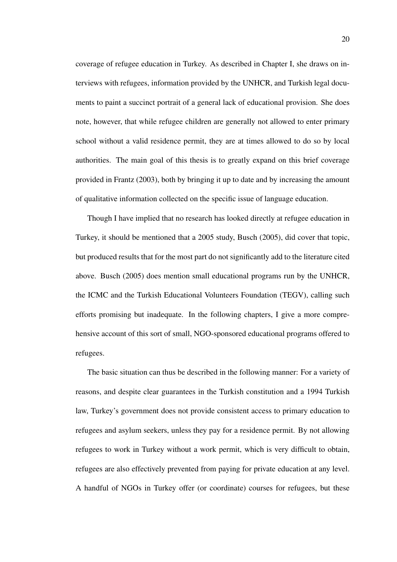coverage of refugee education in Turkey. As described in Chapter I, she draws on interviews with refugees, information provided by the UNHCR, and Turkish legal documents to paint a succinct portrait of a general lack of educational provision. She does note, however, that while refugee children are generally not allowed to enter primary school without a valid residence permit, they are at times allowed to do so by local authorities. The main goal of this thesis is to greatly expand on this brief coverage provided in Frantz (2003), both by bringing it up to date and by increasing the amount of qualitative information collected on the specific issue of language education.

Though I have implied that no research has looked directly at refugee education in Turkey, it should be mentioned that a 2005 study, Busch (2005), did cover that topic, but produced results that for the most part do not significantly add to the literature cited above. Busch (2005) does mention small educational programs run by the UNHCR, the ICMC and the Turkish Educational Volunteers Foundation (TEGV), calling such efforts promising but inadequate. In the following chapters, I give a more comprehensive account of this sort of small, NGO-sponsored educational programs offered to refugees.

The basic situation can thus be described in the following manner: For a variety of reasons, and despite clear guarantees in the Turkish constitution and a 1994 Turkish law, Turkey's government does not provide consistent access to primary education to refugees and asylum seekers, unless they pay for a residence permit. By not allowing refugees to work in Turkey without a work permit, which is very difficult to obtain, refugees are also effectively prevented from paying for private education at any level. A handful of NGOs in Turkey offer (or coordinate) courses for refugees, but these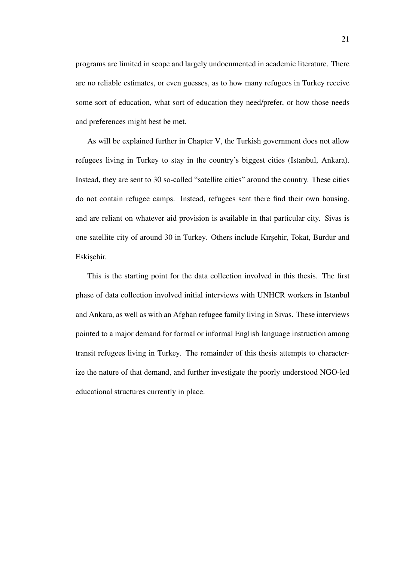programs are limited in scope and largely undocumented in academic literature. There are no reliable estimates, or even guesses, as to how many refugees in Turkey receive some sort of education, what sort of education they need/prefer, or how those needs and preferences might best be met.

As will be explained further in Chapter V, the Turkish government does not allow refugees living in Turkey to stay in the country's biggest cities (Istanbul, Ankara). Instead, they are sent to 30 so-called "satellite cities" around the country. These cities do not contain refugee camps. Instead, refugees sent there find their own housing, and are reliant on whatever aid provision is available in that particular city. Sivas is one satellite city of around 30 in Turkey. Others include Kirsehir, Tokat, Burdur and Eskişehir.

This is the starting point for the data collection involved in this thesis. The first phase of data collection involved initial interviews with UNHCR workers in Istanbul and Ankara, as well as with an Afghan refugee family living in Sivas. These interviews pointed to a major demand for formal or informal English language instruction among transit refugees living in Turkey. The remainder of this thesis attempts to characterize the nature of that demand, and further investigate the poorly understood NGO-led educational structures currently in place.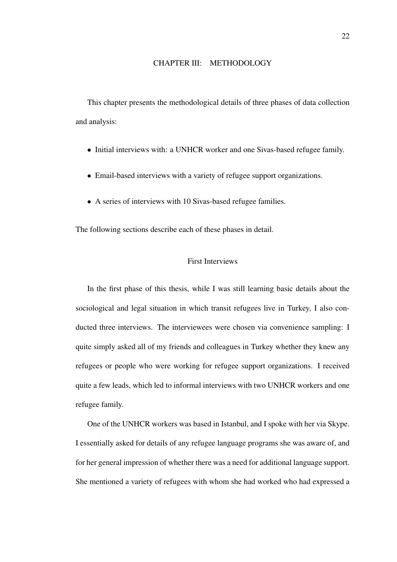# CHAPTER III: METHODOLOGY

This chapter presents the methodological details of three phases of data collection and analysis:

- Initial interviews with: a UNHCR worker and one Sivas-based refugee family.
- Email-based interviews with a variety of refugee support organizations.
- A series of interviews with 10 Sivas-based refugee families.

The following sections describe each of these phases in detail.

# First Interviews

In the first phase of this thesis, while I was still learning basic details about the sociological and legal situation in which transit refugees live in Turkey, I also conducted three interviews. The interviewees were chosen via convenience sampling: I quite simply asked all of my friends and colleagues in Turkey whether they knew any refugees or people who were working for refugee support organizations. I received quite a few leads, which led to informal interviews with two UNHCR workers and one refugee family.

One of the UNHCR workers was based in Istanbul, and I spoke with her via Skype. I essentially asked for details of any refugee language programs she was aware of, and for her general impression of whether there was a need for additional language support. She mentioned a variety of refugees with whom she had worked who had expressed a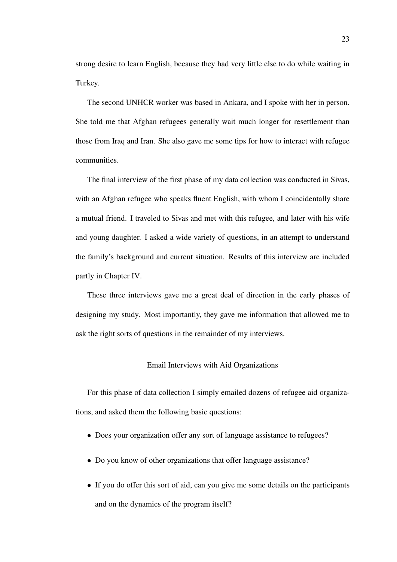strong desire to learn English, because they had very little else to do while waiting in Turkey.

The second UNHCR worker was based in Ankara, and I spoke with her in person. She told me that Afghan refugees generally wait much longer for resettlement than those from Iraq and Iran. She also gave me some tips for how to interact with refugee communities.

The final interview of the first phase of my data collection was conducted in Sivas, with an Afghan refugee who speaks fluent English, with whom I coincidentally share a mutual friend. I traveled to Sivas and met with this refugee, and later with his wife and young daughter. I asked a wide variety of questions, in an attempt to understand the family's background and current situation. Results of this interview are included partly in Chapter IV.

These three interviews gave me a great deal of direction in the early phases of designing my study. Most importantly, they gave me information that allowed me to ask the right sorts of questions in the remainder of my interviews.

# Email Interviews with Aid Organizations

For this phase of data collection I simply emailed dozens of refugee aid organizations, and asked them the following basic questions:

- Does your organization offer any sort of language assistance to refugees?
- Do you know of other organizations that offer language assistance?
- If you do offer this sort of aid, can you give me some details on the participants and on the dynamics of the program itself?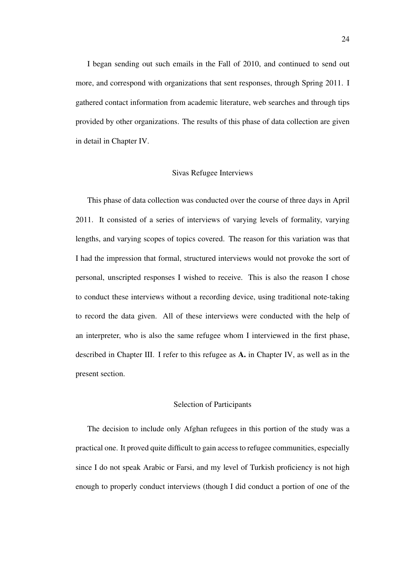I began sending out such emails in the Fall of 2010, and continued to send out more, and correspond with organizations that sent responses, through Spring 2011. I gathered contact information from academic literature, web searches and through tips provided by other organizations. The results of this phase of data collection are given in detail in Chapter IV.

# Sivas Refugee Interviews

This phase of data collection was conducted over the course of three days in April 2011. It consisted of a series of interviews of varying levels of formality, varying lengths, and varying scopes of topics covered. The reason for this variation was that I had the impression that formal, structured interviews would not provoke the sort of personal, unscripted responses I wished to receive. This is also the reason I chose to conduct these interviews without a recording device, using traditional note-taking to record the data given. All of these interviews were conducted with the help of an interpreter, who is also the same refugee whom I interviewed in the first phase, described in Chapter III. I refer to this refugee as A. in Chapter IV, as well as in the present section.

#### Selection of Participants

The decision to include only Afghan refugees in this portion of the study was a practical one. It proved quite difficult to gain access to refugee communities, especially since I do not speak Arabic or Farsi, and my level of Turkish proficiency is not high enough to properly conduct interviews (though I did conduct a portion of one of the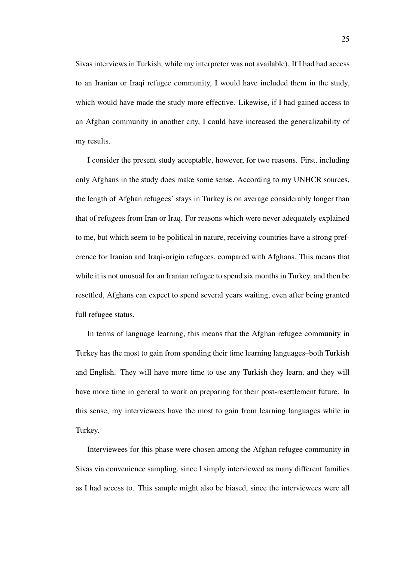Sivas interviews in Turkish, while my interpreter was not available). If I had had access to an Iranian or Iraqi refugee community, I would have included them in the study, which would have made the study more effective. Likewise, if I had gained access to an Afghan community in another city, I could have increased the generalizability of my results.

I consider the present study acceptable, however, for two reasons. First, including only Afghans in the study does make some sense. According to my UNHCR sources, the length of Afghan refugees' stays in Turkey is on average considerably longer than that of refugees from Iran or Iraq. For reasons which were never adequately explained to me, but which seem to be political in nature, receiving countries have a strong preference for Iranian and Iraqi-origin refugees, compared with Afghans. This means that while it is not unusual for an Iranian refugee to spend six months in Turkey, and then be resettled, Afghans can expect to spend several years waiting, even after being granted full refugee status.

In terms of language learning, this means that the Afghan refugee community in Turkey has the most to gain from spending their time learning languages–both Turkish and English. They will have more time to use any Turkish they learn, and they will have more time in general to work on preparing for their post-resettlement future. In this sense, my interviewees have the most to gain from learning languages while in Turkey.

Interviewees for this phase were chosen among the Afghan refugee community in Sivas via convenience sampling, since I simply interviewed as many different families as I had access to. This sample might also be biased, since the interviewees were all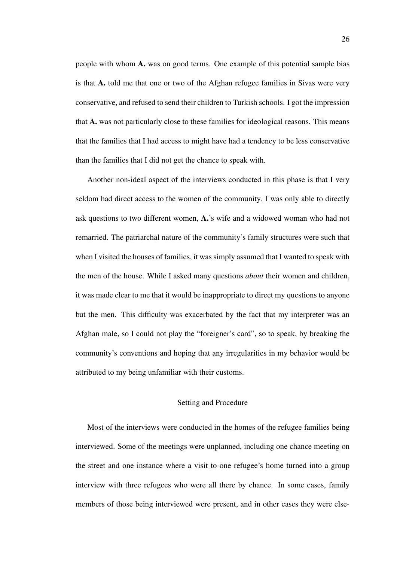people with whom A. was on good terms. One example of this potential sample bias is that A. told me that one or two of the Afghan refugee families in Sivas were very conservative, and refused to send their children to Turkish schools. I got the impression that A. was not particularly close to these families for ideological reasons. This means that the families that I had access to might have had a tendency to be less conservative than the families that I did not get the chance to speak with.

Another non-ideal aspect of the interviews conducted in this phase is that I very seldom had direct access to the women of the community. I was only able to directly ask questions to two different women, A.'s wife and a widowed woman who had not remarried. The patriarchal nature of the community's family structures were such that when I visited the houses of families, it was simply assumed that I wanted to speak with the men of the house. While I asked many questions *about* their women and children, it was made clear to me that it would be inappropriate to direct my questions to anyone but the men. This difficulty was exacerbated by the fact that my interpreter was an Afghan male, so I could not play the "foreigner's card", so to speak, by breaking the community's conventions and hoping that any irregularities in my behavior would be attributed to my being unfamiliar with their customs.

#### Setting and Procedure

Most of the interviews were conducted in the homes of the refugee families being interviewed. Some of the meetings were unplanned, including one chance meeting on the street and one instance where a visit to one refugee's home turned into a group interview with three refugees who were all there by chance. In some cases, family members of those being interviewed were present, and in other cases they were else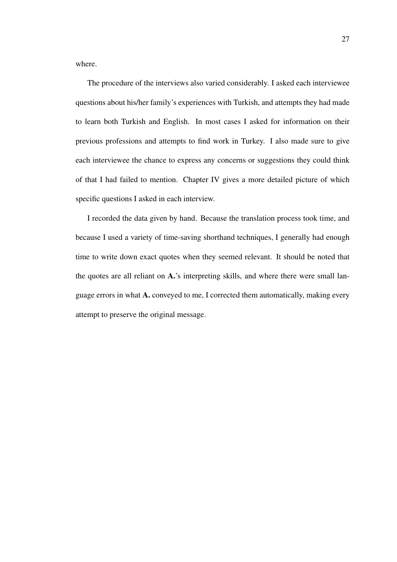where.

The procedure of the interviews also varied considerably. I asked each interviewee questions about his/her family's experiences with Turkish, and attempts they had made to learn both Turkish and English. In most cases I asked for information on their previous professions and attempts to find work in Turkey. I also made sure to give each interviewee the chance to express any concerns or suggestions they could think of that I had failed to mention. Chapter IV gives a more detailed picture of which specific questions I asked in each interview.

I recorded the data given by hand. Because the translation process took time, and because I used a variety of time-saving shorthand techniques, I generally had enough time to write down exact quotes when they seemed relevant. It should be noted that the quotes are all reliant on A.'s interpreting skills, and where there were small language errors in what A. conveyed to me, I corrected them automatically, making every attempt to preserve the original message.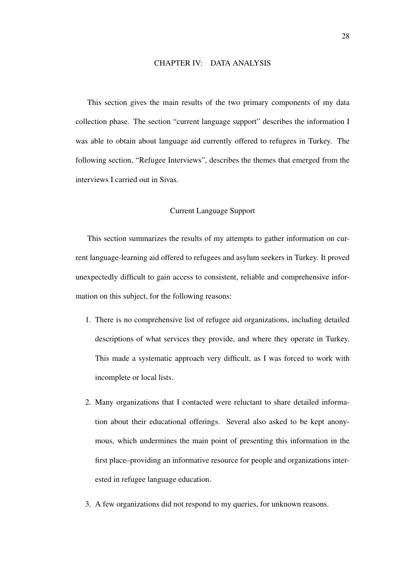# CHAPTER IV: DATA ANALYSIS

This section gives the main results of the two primary components of my data collection phase. The section "current language support" describes the information I was able to obtain about language aid currently offered to refugees in Turkey. The following section, "Refugee Interviews", describes the themes that emerged from the interviews I carried out in Sivas.

# Current Language Support

This section summarizes the results of my attempts to gather information on current language-learning aid offered to refugees and asylum seekers in Turkey. It proved unexpectedly difficult to gain access to consistent, reliable and comprehensive information on this subject, for the following reasons:

- 1. There is no comprehensive list of refugee aid organizations, including detailed descriptions of what services they provide, and where they operate in Turkey. This made a systematic approach very difficult, as I was forced to work with incomplete or local lists.
- 2. Many organizations that I contacted were reluctant to share detailed information about their educational offerings. Several also asked to be kept anonymous, which undermines the main point of presenting this information in the first place–providing an informative resource for people and organizations interested in refugee language education.
- 3. A few organizations did not respond to my queries, for unknown reasons.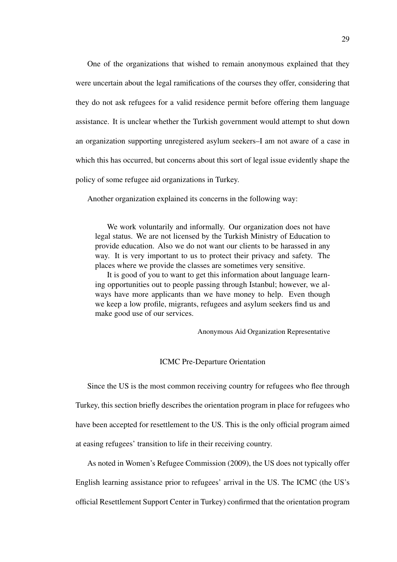One of the organizations that wished to remain anonymous explained that they were uncertain about the legal ramifications of the courses they offer, considering that they do not ask refugees for a valid residence permit before offering them language assistance. It is unclear whether the Turkish government would attempt to shut down an organization supporting unregistered asylum seekers–I am not aware of a case in which this has occurred, but concerns about this sort of legal issue evidently shape the policy of some refugee aid organizations in Turkey.

Another organization explained its concerns in the following way:

We work voluntarily and informally. Our organization does not have legal status. We are not licensed by the Turkish Ministry of Education to provide education. Also we do not want our clients to be harassed in any way. It is very important to us to protect their privacy and safety. The places where we provide the classes are sometimes very sensitive.

It is good of you to want to get this information about language learning opportunities out to people passing through Istanbul; however, we always have more applicants than we have money to help. Even though we keep a low profile, migrants, refugees and asylum seekers find us and make good use of our services.

Anonymous Aid Organization Representative

ICMC Pre-Departure Orientation

Since the US is the most common receiving country for refugees who flee through Turkey, this section briefly describes the orientation program in place for refugees who have been accepted for resettlement to the US. This is the only official program aimed at easing refugees' transition to life in their receiving country.

As noted in Women's Refugee Commission (2009), the US does not typically offer English learning assistance prior to refugees' arrival in the US. The ICMC (the US's official Resettlement Support Center in Turkey) confirmed that the orientation program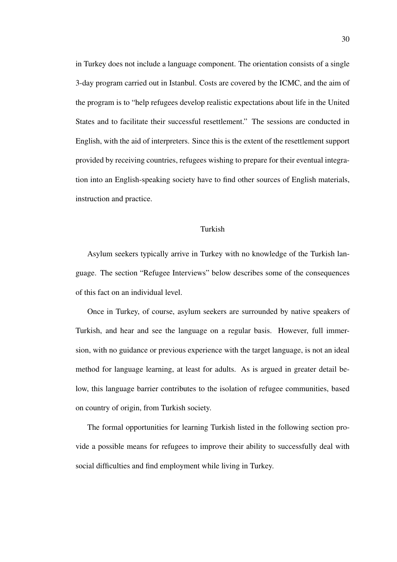in Turkey does not include a language component. The orientation consists of a single 3-day program carried out in Istanbul. Costs are covered by the ICMC, and the aim of the program is to "help refugees develop realistic expectations about life in the United States and to facilitate their successful resettlement." The sessions are conducted in English, with the aid of interpreters. Since this is the extent of the resettlement support provided by receiving countries, refugees wishing to prepare for their eventual integration into an English-speaking society have to find other sources of English materials, instruction and practice.

# Turkish

Asylum seekers typically arrive in Turkey with no knowledge of the Turkish language. The section "Refugee Interviews" below describes some of the consequences of this fact on an individual level.

Once in Turkey, of course, asylum seekers are surrounded by native speakers of Turkish, and hear and see the language on a regular basis. However, full immersion, with no guidance or previous experience with the target language, is not an ideal method for language learning, at least for adults. As is argued in greater detail below, this language barrier contributes to the isolation of refugee communities, based on country of origin, from Turkish society.

The formal opportunities for learning Turkish listed in the following section provide a possible means for refugees to improve their ability to successfully deal with social difficulties and find employment while living in Turkey.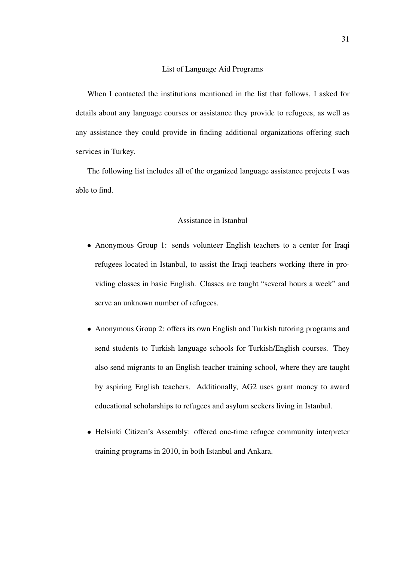#### List of Language Aid Programs

When I contacted the institutions mentioned in the list that follows, I asked for details about any language courses or assistance they provide to refugees, as well as any assistance they could provide in finding additional organizations offering such services in Turkey.

The following list includes all of the organized language assistance projects I was able to find.

### Assistance in Istanbul

- Anonymous Group 1: sends volunteer English teachers to a center for Iraqi refugees located in Istanbul, to assist the Iraqi teachers working there in providing classes in basic English. Classes are taught "several hours a week" and serve an unknown number of refugees.
- Anonymous Group 2: offers its own English and Turkish tutoring programs and send students to Turkish language schools for Turkish/English courses. They also send migrants to an English teacher training school, where they are taught by aspiring English teachers. Additionally, AG2 uses grant money to award educational scholarships to refugees and asylum seekers living in Istanbul.
- Helsinki Citizen's Assembly: offered one-time refugee community interpreter training programs in 2010, in both Istanbul and Ankara.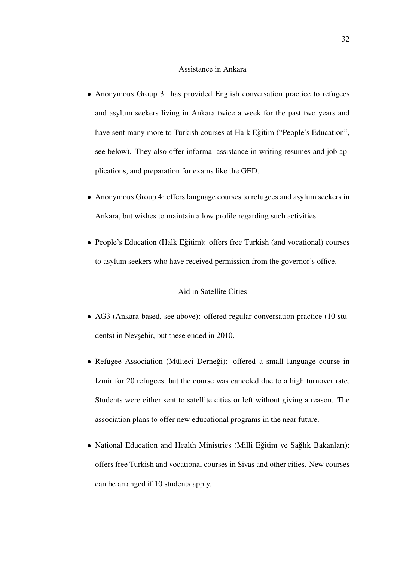#### Assistance in Ankara

- Anonymous Group 3: has provided English conversation practice to refugees and asylum seekers living in Ankara twice a week for the past two years and have sent many more to Turkish courses at Halk Eğitim ("People's Education", see below). They also offer informal assistance in writing resumes and job applications, and preparation for exams like the GED.
- Anonymous Group 4: offers language courses to refugees and asylum seekers in Ankara, but wishes to maintain a low profile regarding such activities.
- People's Education (Halk Eğitim): offers free Turkish (and vocational) courses to asylum seekers who have received permission from the governor's office.

# Aid in Satellite Cities

- AG3 (Ankara-based, see above): offered regular conversation practice (10 students) in Nevşehir, but these ended in 2010.
- Refugee Association (Mülteci Derneği): offered a small language course in Izmir for 20 refugees, but the course was canceled due to a high turnover rate. Students were either sent to satellite cities or left without giving a reason. The association plans to offer new educational programs in the near future.
- National Education and Health Ministries (Milli Eğitim ve Sağlık Bakanları): offers free Turkish and vocational courses in Sivas and other cities. New courses can be arranged if 10 students apply.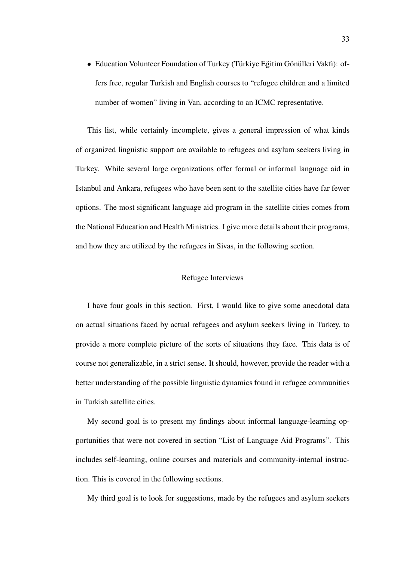• Education Volunteer Foundation of Turkey (Türkiye Eğitim Gönülleri Vakfı): offers free, regular Turkish and English courses to "refugee children and a limited number of women" living in Van, according to an ICMC representative.

This list, while certainly incomplete, gives a general impression of what kinds of organized linguistic support are available to refugees and asylum seekers living in Turkey. While several large organizations offer formal or informal language aid in Istanbul and Ankara, refugees who have been sent to the satellite cities have far fewer options. The most significant language aid program in the satellite cities comes from the National Education and Health Ministries. I give more details about their programs, and how they are utilized by the refugees in Sivas, in the following section.

# Refugee Interviews

I have four goals in this section. First, I would like to give some anecdotal data on actual situations faced by actual refugees and asylum seekers living in Turkey, to provide a more complete picture of the sorts of situations they face. This data is of course not generalizable, in a strict sense. It should, however, provide the reader with a better understanding of the possible linguistic dynamics found in refugee communities in Turkish satellite cities.

My second goal is to present my findings about informal language-learning opportunities that were not covered in section "List of Language Aid Programs". This includes self-learning, online courses and materials and community-internal instruction. This is covered in the following sections.

My third goal is to look for suggestions, made by the refugees and asylum seekers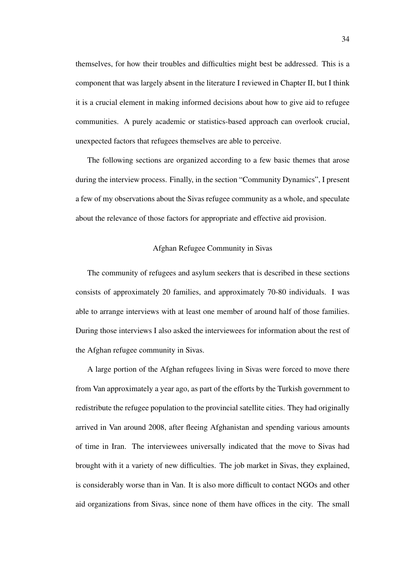themselves, for how their troubles and difficulties might best be addressed. This is a component that was largely absent in the literature I reviewed in Chapter II, but I think it is a crucial element in making informed decisions about how to give aid to refugee communities. A purely academic or statistics-based approach can overlook crucial, unexpected factors that refugees themselves are able to perceive.

The following sections are organized according to a few basic themes that arose during the interview process. Finally, in the section "Community Dynamics", I present a few of my observations about the Sivas refugee community as a whole, and speculate about the relevance of those factors for appropriate and effective aid provision.

# Afghan Refugee Community in Sivas

The community of refugees and asylum seekers that is described in these sections consists of approximately 20 families, and approximately 70-80 individuals. I was able to arrange interviews with at least one member of around half of those families. During those interviews I also asked the interviewees for information about the rest of the Afghan refugee community in Sivas.

A large portion of the Afghan refugees living in Sivas were forced to move there from Van approximately a year ago, as part of the efforts by the Turkish government to redistribute the refugee population to the provincial satellite cities. They had originally arrived in Van around 2008, after fleeing Afghanistan and spending various amounts of time in Iran. The interviewees universally indicated that the move to Sivas had brought with it a variety of new difficulties. The job market in Sivas, they explained, is considerably worse than in Van. It is also more difficult to contact NGOs and other aid organizations from Sivas, since none of them have offices in the city. The small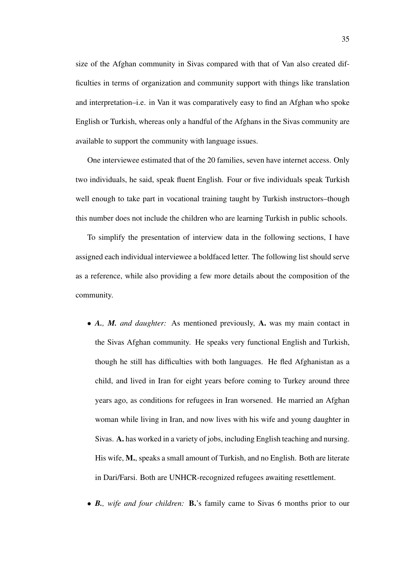size of the Afghan community in Sivas compared with that of Van also created difficulties in terms of organization and community support with things like translation and interpretation–i.e. in Van it was comparatively easy to find an Afghan who spoke English or Turkish, whereas only a handful of the Afghans in the Sivas community are available to support the community with language issues.

One interviewee estimated that of the 20 families, seven have internet access. Only two individuals, he said, speak fluent English. Four or five individuals speak Turkish well enough to take part in vocational training taught by Turkish instructors–though this number does not include the children who are learning Turkish in public schools.

To simplify the presentation of interview data in the following sections, I have assigned each individual interviewee a boldfaced letter. The following list should serve as a reference, while also providing a few more details about the composition of the community.

- *A., M. and daughter:* As mentioned previously, A. was my main contact in the Sivas Afghan community. He speaks very functional English and Turkish, though he still has difficulties with both languages. He fled Afghanistan as a child, and lived in Iran for eight years before coming to Turkey around three years ago, as conditions for refugees in Iran worsened. He married an Afghan woman while living in Iran, and now lives with his wife and young daughter in Sivas. A. has worked in a variety of jobs, including English teaching and nursing. His wife, M., speaks a small amount of Turkish, and no English. Both are literate in Dari/Farsi. Both are UNHCR-recognized refugees awaiting resettlement.
- *B., wife and four children:* B.'s family came to Sivas 6 months prior to our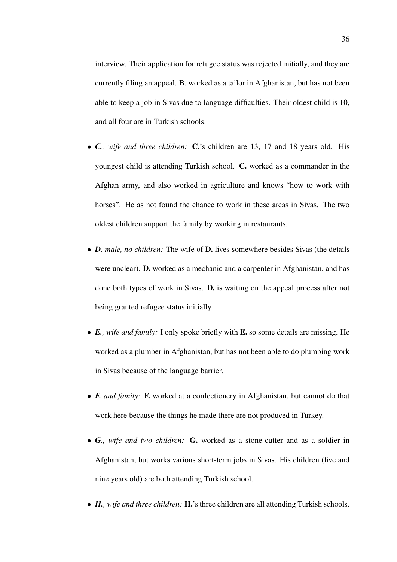interview. Their application for refugee status was rejected initially, and they are currently filing an appeal. B. worked as a tailor in Afghanistan, but has not been able to keep a job in Sivas due to language difficulties. Their oldest child is 10, and all four are in Turkish schools.

- *C., wife and three children:* C.'s children are 13, 17 and 18 years old. His youngest child is attending Turkish school. C. worked as a commander in the Afghan army, and also worked in agriculture and knows "how to work with horses". He as not found the chance to work in these areas in Sivas. The two oldest children support the family by working in restaurants.
- *D. male, no children:* The wife of D. lives somewhere besides Sivas (the details were unclear). D. worked as a mechanic and a carpenter in Afghanistan, and has done both types of work in Sivas. D. is waiting on the appeal process after not being granted refugee status initially.
- *E., wife and family:* I only spoke briefly with E. so some details are missing. He worked as a plumber in Afghanistan, but has not been able to do plumbing work in Sivas because of the language barrier.
- *F. and family:* F. worked at a confectionery in Afghanistan, but cannot do that work here because the things he made there are not produced in Turkey.
- *G., wife and two children:* G. worked as a stone-cutter and as a soldier in Afghanistan, but works various short-term jobs in Sivas. His children (five and nine years old) are both attending Turkish school.
- *H., wife and three children:* H.'s three children are all attending Turkish schools.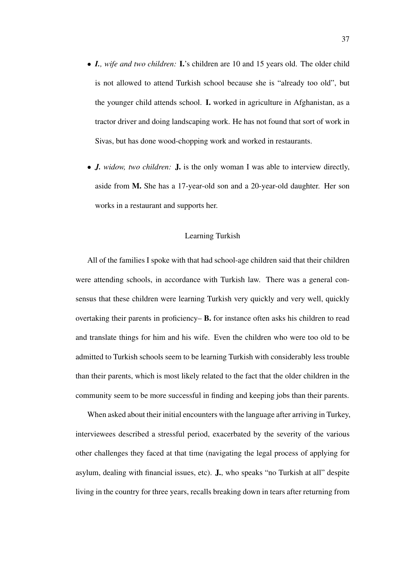- *I., wife and two children:* I.'s children are 10 and 15 years old. The older child is not allowed to attend Turkish school because she is "already too old", but the younger child attends school. I. worked in agriculture in Afghanistan, as a tractor driver and doing landscaping work. He has not found that sort of work in Sivas, but has done wood-chopping work and worked in restaurants.
- *J. widow, two children:* J. is the only woman I was able to interview directly, aside from M. She has a 17-year-old son and a 20-year-old daughter. Her son works in a restaurant and supports her.

#### Learning Turkish

All of the families I spoke with that had school-age children said that their children were attending schools, in accordance with Turkish law. There was a general consensus that these children were learning Turkish very quickly and very well, quickly overtaking their parents in proficiency– B. for instance often asks his children to read and translate things for him and his wife. Even the children who were too old to be admitted to Turkish schools seem to be learning Turkish with considerably less trouble than their parents, which is most likely related to the fact that the older children in the community seem to be more successful in finding and keeping jobs than their parents.

When asked about their initial encounters with the language after arriving in Turkey, interviewees described a stressful period, exacerbated by the severity of the various other challenges they faced at that time (navigating the legal process of applying for asylum, dealing with financial issues, etc). J., who speaks "no Turkish at all" despite living in the country for three years, recalls breaking down in tears after returning from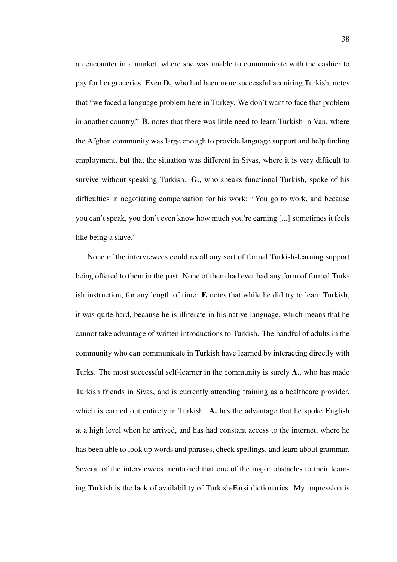an encounter in a market, where she was unable to communicate with the cashier to pay for her groceries. Even D., who had been more successful acquiring Turkish, notes that "we faced a language problem here in Turkey. We don't want to face that problem in another country." B. notes that there was little need to learn Turkish in Van, where the Afghan community was large enough to provide language support and help finding employment, but that the situation was different in Sivas, where it is very difficult to survive without speaking Turkish. G., who speaks functional Turkish, spoke of his difficulties in negotiating compensation for his work: "You go to work, and because you can't speak, you don't even know how much you're earning [...] sometimes it feels like being a slave."

None of the interviewees could recall any sort of formal Turkish-learning support being offered to them in the past. None of them had ever had any form of formal Turkish instruction, for any length of time. F. notes that while he did try to learn Turkish, it was quite hard, because he is illiterate in his native language, which means that he cannot take advantage of written introductions to Turkish. The handful of adults in the community who can communicate in Turkish have learned by interacting directly with Turks. The most successful self-learner in the community is surely A., who has made Turkish friends in Sivas, and is currently attending training as a healthcare provider, which is carried out entirely in Turkish. A. has the advantage that he spoke English at a high level when he arrived, and has had constant access to the internet, where he has been able to look up words and phrases, check spellings, and learn about grammar. Several of the interviewees mentioned that one of the major obstacles to their learning Turkish is the lack of availability of Turkish-Farsi dictionaries. My impression is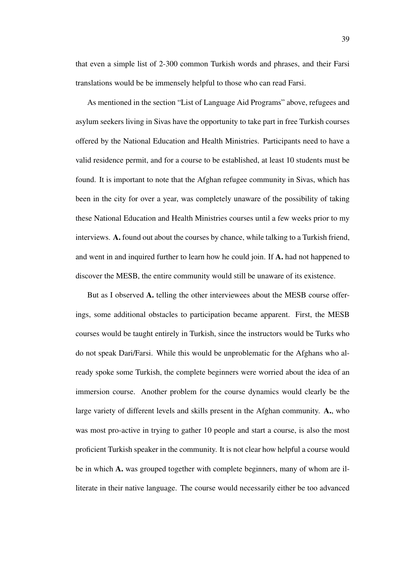that even a simple list of 2-300 common Turkish words and phrases, and their Farsi translations would be be immensely helpful to those who can read Farsi.

As mentioned in the section "List of Language Aid Programs" above, refugees and asylum seekers living in Sivas have the opportunity to take part in free Turkish courses offered by the National Education and Health Ministries. Participants need to have a valid residence permit, and for a course to be established, at least 10 students must be found. It is important to note that the Afghan refugee community in Sivas, which has been in the city for over a year, was completely unaware of the possibility of taking these National Education and Health Ministries courses until a few weeks prior to my interviews. A. found out about the courses by chance, while talking to a Turkish friend, and went in and inquired further to learn how he could join. If A. had not happened to discover the MESB, the entire community would still be unaware of its existence.

But as I observed A. telling the other interviewees about the MESB course offerings, some additional obstacles to participation became apparent. First, the MESB courses would be taught entirely in Turkish, since the instructors would be Turks who do not speak Dari/Farsi. While this would be unproblematic for the Afghans who already spoke some Turkish, the complete beginners were worried about the idea of an immersion course. Another problem for the course dynamics would clearly be the large variety of different levels and skills present in the Afghan community. A., who was most pro-active in trying to gather 10 people and start a course, is also the most proficient Turkish speaker in the community. It is not clear how helpful a course would be in which A. was grouped together with complete beginners, many of whom are illiterate in their native language. The course would necessarily either be too advanced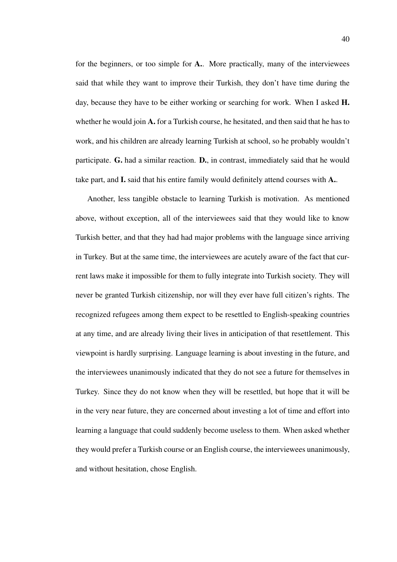for the beginners, or too simple for A.. More practically, many of the interviewees said that while they want to improve their Turkish, they don't have time during the day, because they have to be either working or searching for work. When I asked **H**. whether he would join  $\mathbf{A}$ . for a Turkish course, he hesitated, and then said that he has to work, and his children are already learning Turkish at school, so he probably wouldn't participate. G. had a similar reaction. D., in contrast, immediately said that he would take part, and I. said that his entire family would definitely attend courses with A..

Another, less tangible obstacle to learning Turkish is motivation. As mentioned above, without exception, all of the interviewees said that they would like to know Turkish better, and that they had had major problems with the language since arriving in Turkey. But at the same time, the interviewees are acutely aware of the fact that current laws make it impossible for them to fully integrate into Turkish society. They will never be granted Turkish citizenship, nor will they ever have full citizen's rights. The recognized refugees among them expect to be resettled to English-speaking countries at any time, and are already living their lives in anticipation of that resettlement. This viewpoint is hardly surprising. Language learning is about investing in the future, and the interviewees unanimously indicated that they do not see a future for themselves in Turkey. Since they do not know when they will be resettled, but hope that it will be in the very near future, they are concerned about investing a lot of time and effort into learning a language that could suddenly become useless to them. When asked whether they would prefer a Turkish course or an English course, the interviewees unanimously, and without hesitation, chose English.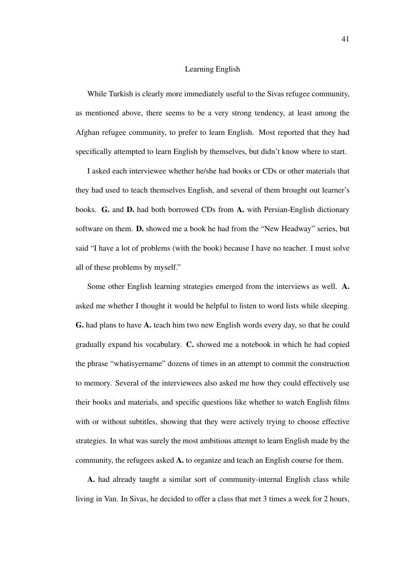## Learning English

While Turkish is clearly more immediately useful to the Sivas refugee community, as mentioned above, there seems to be a very strong tendency, at least among the Afghan refugee community, to prefer to learn English. Most reported that they had specifically attempted to learn English by themselves, but didn't know where to start.

I asked each interviewee whether he/she had books or CDs or other materials that they had used to teach themselves English, and several of them brought out learner's books. G. and D. had both borrowed CDs from A. with Persian-English dictionary software on them. D. showed me a book he had from the "New Headway" series, but said "I have a lot of problems (with the book) because I have no teacher. I must solve all of these problems by myself."

Some other English learning strategies emerged from the interviews as well. A. asked me whether I thought it would be helpful to listen to word lists while sleeping. G. had plans to have A. teach him two new English words every day, so that he could gradually expand his vocabulary. C. showed me a notebook in which he had copied the phrase "whatisyername" dozens of times in an attempt to commit the construction to memory. Several of the interviewees also asked me how they could effectively use their books and materials, and specific questions like whether to watch English films with or without subtitles, showing that they were actively trying to choose effective strategies. In what was surely the most ambitious attempt to learn English made by the community, the refugees asked A. to organize and teach an English course for them.

A. had already taught a similar sort of community-internal English class while living in Van. In Sivas, he decided to offer a class that met 3 times a week for 2 hours,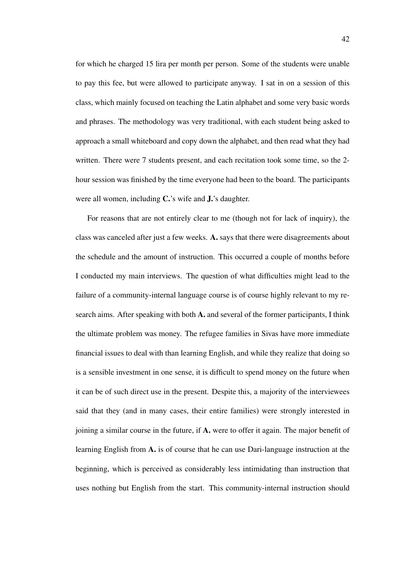for which he charged 15 lira per month per person. Some of the students were unable to pay this fee, but were allowed to participate anyway. I sat in on a session of this class, which mainly focused on teaching the Latin alphabet and some very basic words and phrases. The methodology was very traditional, with each student being asked to approach a small whiteboard and copy down the alphabet, and then read what they had written. There were 7 students present, and each recitation took some time, so the 2 hour session was finished by the time everyone had been to the board. The participants were all women, including C.'s wife and J.'s daughter.

For reasons that are not entirely clear to me (though not for lack of inquiry), the class was canceled after just a few weeks. A. says that there were disagreements about the schedule and the amount of instruction. This occurred a couple of months before I conducted my main interviews. The question of what difficulties might lead to the failure of a community-internal language course is of course highly relevant to my research aims. After speaking with both A. and several of the former participants, I think the ultimate problem was money. The refugee families in Sivas have more immediate financial issues to deal with than learning English, and while they realize that doing so is a sensible investment in one sense, it is difficult to spend money on the future when it can be of such direct use in the present. Despite this, a majority of the interviewees said that they (and in many cases, their entire families) were strongly interested in joining a similar course in the future, if A. were to offer it again. The major benefit of learning English from A. is of course that he can use Dari-language instruction at the beginning, which is perceived as considerably less intimidating than instruction that uses nothing but English from the start. This community-internal instruction should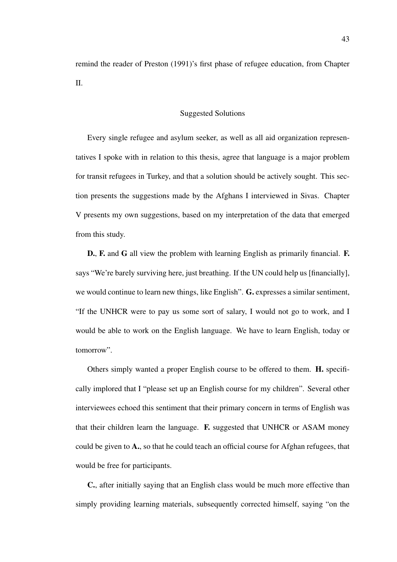remind the reader of Preston (1991)'s first phase of refugee education, from Chapter II.

# Suggested Solutions

Every single refugee and asylum seeker, as well as all aid organization representatives I spoke with in relation to this thesis, agree that language is a major problem for transit refugees in Turkey, and that a solution should be actively sought. This section presents the suggestions made by the Afghans I interviewed in Sivas. Chapter V presents my own suggestions, based on my interpretation of the data that emerged from this study.

D., F. and G all view the problem with learning English as primarily financial. F. says "We're barely surviving here, just breathing. If the UN could help us [financially], we would continue to learn new things, like English". G. expresses a similar sentiment, "If the UNHCR were to pay us some sort of salary, I would not go to work, and I would be able to work on the English language. We have to learn English, today or tomorrow".

Others simply wanted a proper English course to be offered to them. H. specifically implored that I "please set up an English course for my children". Several other interviewees echoed this sentiment that their primary concern in terms of English was that their children learn the language. F. suggested that UNHCR or ASAM money could be given to A., so that he could teach an official course for Afghan refugees, that would be free for participants.

C., after initially saying that an English class would be much more effective than simply providing learning materials, subsequently corrected himself, saying "on the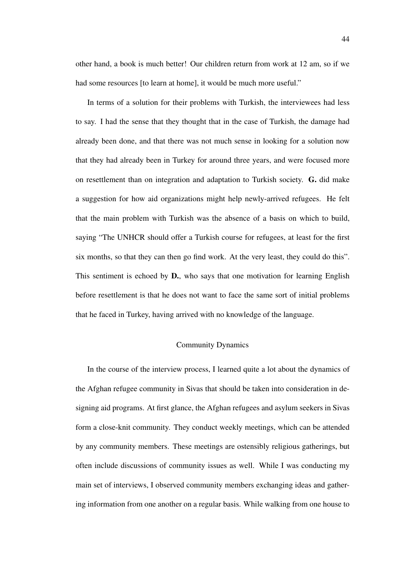other hand, a book is much better! Our children return from work at 12 am, so if we had some resources [to learn at home], it would be much more useful."

In terms of a solution for their problems with Turkish, the interviewees had less to say. I had the sense that they thought that in the case of Turkish, the damage had already been done, and that there was not much sense in looking for a solution now that they had already been in Turkey for around three years, and were focused more on resettlement than on integration and adaptation to Turkish society. G. did make a suggestion for how aid organizations might help newly-arrived refugees. He felt that the main problem with Turkish was the absence of a basis on which to build, saying "The UNHCR should offer a Turkish course for refugees, at least for the first six months, so that they can then go find work. At the very least, they could do this". This sentiment is echoed by **D.**, who says that one motivation for learning English before resettlement is that he does not want to face the same sort of initial problems that he faced in Turkey, having arrived with no knowledge of the language.

# Community Dynamics

In the course of the interview process, I learned quite a lot about the dynamics of the Afghan refugee community in Sivas that should be taken into consideration in designing aid programs. At first glance, the Afghan refugees and asylum seekers in Sivas form a close-knit community. They conduct weekly meetings, which can be attended by any community members. These meetings are ostensibly religious gatherings, but often include discussions of community issues as well. While I was conducting my main set of interviews, I observed community members exchanging ideas and gathering information from one another on a regular basis. While walking from one house to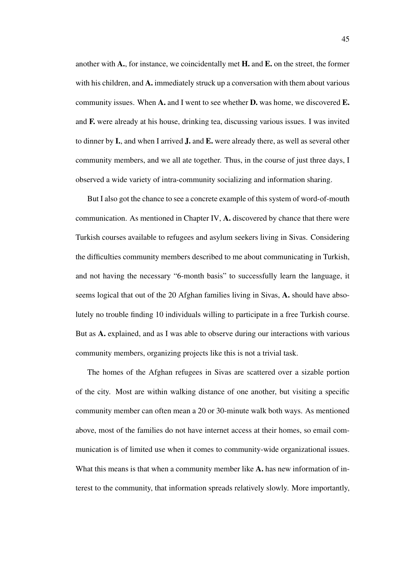another with  $A_{\cdot}$ , for instance, we coincidentally met  $H_{\cdot}$  and  $E_{\cdot}$  on the street, the former with his children, and A. immediately struck up a conversation with them about various community issues. When  $A$ , and I went to see whether  $D$ , was home, we discovered  $E$ . and F. were already at his house, drinking tea, discussing various issues. I was invited to dinner by I., and when I arrived J. and E. were already there, as well as several other community members, and we all ate together. Thus, in the course of just three days, I observed a wide variety of intra-community socializing and information sharing.

But I also got the chance to see a concrete example of this system of word-of-mouth communication. As mentioned in Chapter IV, A. discovered by chance that there were Turkish courses available to refugees and asylum seekers living in Sivas. Considering the difficulties community members described to me about communicating in Turkish, and not having the necessary "6-month basis" to successfully learn the language, it seems logical that out of the 20 Afghan families living in Sivas, A. should have absolutely no trouble finding 10 individuals willing to participate in a free Turkish course. But as A. explained, and as I was able to observe during our interactions with various community members, organizing projects like this is not a trivial task.

The homes of the Afghan refugees in Sivas are scattered over a sizable portion of the city. Most are within walking distance of one another, but visiting a specific community member can often mean a 20 or 30-minute walk both ways. As mentioned above, most of the families do not have internet access at their homes, so email communication is of limited use when it comes to community-wide organizational issues. What this means is that when a community member like A. has new information of interest to the community, that information spreads relatively slowly. More importantly,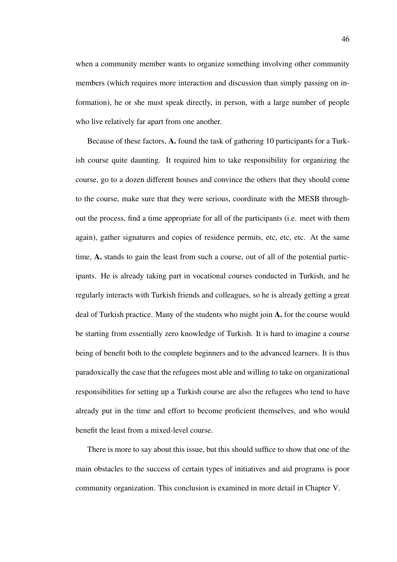when a community member wants to organize something involving other community members (which requires more interaction and discussion than simply passing on information), he or she must speak directly, in person, with a large number of people who live relatively far apart from one another.

Because of these factors, A. found the task of gathering 10 participants for a Turkish course quite daunting. It required him to take responsibility for organizing the course, go to a dozen different houses and convince the others that they should come to the course, make sure that they were serious, coordinate with the MESB throughout the process, find a time appropriate for all of the participants (i.e. meet with them again), gather signatures and copies of residence permits, etc, etc, etc. At the same time, A. stands to gain the least from such a course, out of all of the potential participants. He is already taking part in vocational courses conducted in Turkish, and he regularly interacts with Turkish friends and colleagues, so he is already getting a great deal of Turkish practice. Many of the students who might join A. for the course would be starting from essentially zero knowledge of Turkish. It is hard to imagine a course being of benefit both to the complete beginners and to the advanced learners. It is thus paradoxically the case that the refugees most able and willing to take on organizational responsibilities for setting up a Turkish course are also the refugees who tend to have already put in the time and effort to become proficient themselves, and who would benefit the least from a mixed-level course.

There is more to say about this issue, but this should suffice to show that one of the main obstacles to the success of certain types of initiatives and aid programs is poor community organization. This conclusion is examined in more detail in Chapter V.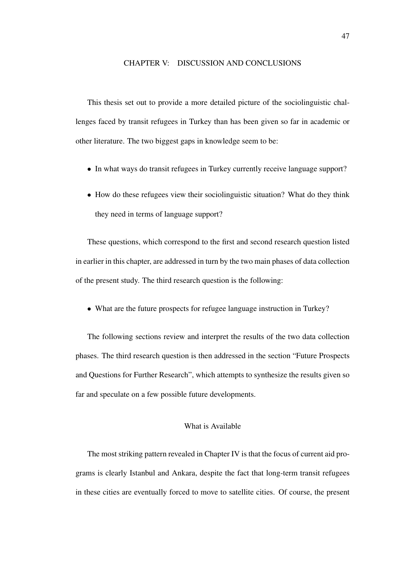# CHAPTER V: DISCUSSION AND CONCLUSIONS

This thesis set out to provide a more detailed picture of the sociolinguistic challenges faced by transit refugees in Turkey than has been given so far in academic or other literature. The two biggest gaps in knowledge seem to be:

- In what ways do transit refugees in Turkey currently receive language support?
- How do these refugees view their sociolinguistic situation? What do they think they need in terms of language support?

These questions, which correspond to the first and second research question listed in earlier in this chapter, are addressed in turn by the two main phases of data collection of the present study. The third research question is the following:

• What are the future prospects for refugee language instruction in Turkey?

The following sections review and interpret the results of the two data collection phases. The third research question is then addressed in the section "Future Prospects and Questions for Further Research", which attempts to synthesize the results given so far and speculate on a few possible future developments.

# What is Available

The most striking pattern revealed in Chapter IV is that the focus of current aid programs is clearly Istanbul and Ankara, despite the fact that long-term transit refugees in these cities are eventually forced to move to satellite cities. Of course, the present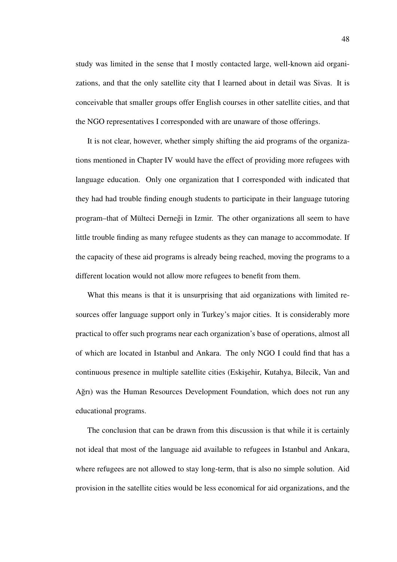study was limited in the sense that I mostly contacted large, well-known aid organizations, and that the only satellite city that I learned about in detail was Sivas. It is conceivable that smaller groups offer English courses in other satellite cities, and that the NGO representatives I corresponded with are unaware of those offerings.

It is not clear, however, whether simply shifting the aid programs of the organizations mentioned in Chapter IV would have the effect of providing more refugees with language education. Only one organization that I corresponded with indicated that they had had trouble finding enough students to participate in their language tutoring program–that of Mülteci Dernegi in Izmir. The other organizations all seem to have ˘ little trouble finding as many refugee students as they can manage to accommodate. If the capacity of these aid programs is already being reached, moving the programs to a different location would not allow more refugees to benefit from them.

What this means is that it is unsurprising that aid organizations with limited resources offer language support only in Turkey's major cities. It is considerably more practical to offer such programs near each organization's base of operations, almost all of which are located in Istanbul and Ankara. The only NGO I could find that has a continuous presence in multiple satellite cities (Eskişehir, Kutahya, Bilecik, Van and Ağrı) was the Human Resources Development Foundation, which does not run any educational programs.

The conclusion that can be drawn from this discussion is that while it is certainly not ideal that most of the language aid available to refugees in Istanbul and Ankara, where refugees are not allowed to stay long-term, that is also no simple solution. Aid provision in the satellite cities would be less economical for aid organizations, and the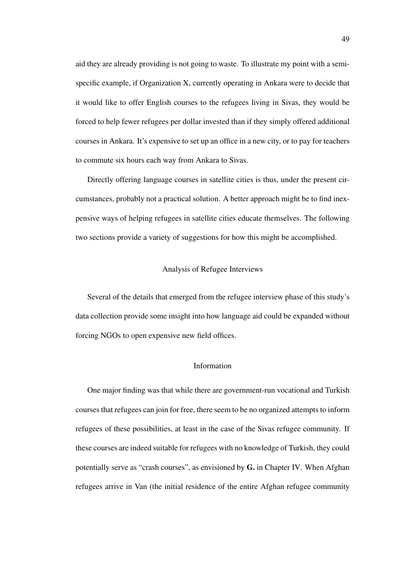aid they are already providing is not going to waste. To illustrate my point with a semispecific example, if Organization X, currently operating in Ankara were to decide that it would like to offer English courses to the refugees living in Sivas, they would be forced to help fewer refugees per dollar invested than if they simply offered additional courses in Ankara. It's expensive to set up an office in a new city, or to pay for teachers to commute six hours each way from Ankara to Sivas.

Directly offering language courses in satellite cities is thus, under the present circumstances, probably not a practical solution. A better approach might be to find inexpensive ways of helping refugees in satellite cities educate themselves. The following two sections provide a variety of suggestions for how this might be accomplished.

# Analysis of Refugee Interviews

Several of the details that emerged from the refugee interview phase of this study's data collection provide some insight into how language aid could be expanded without forcing NGOs to open expensive new field offices.

### Information

One major finding was that while there are government-run vocational and Turkish courses that refugees can join for free, there seem to be no organized attempts to inform refugees of these possibilities, at least in the case of the Sivas refugee community. If these courses are indeed suitable for refugees with no knowledge of Turkish, they could potentially serve as "crash courses", as envisioned by G. in Chapter IV. When Afghan refugees arrive in Van (the initial residence of the entire Afghan refugee community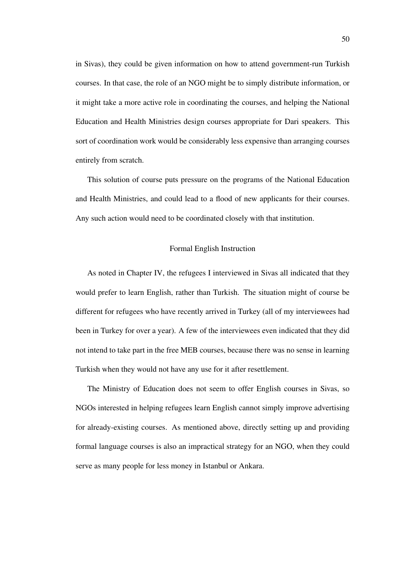in Sivas), they could be given information on how to attend government-run Turkish courses. In that case, the role of an NGO might be to simply distribute information, or it might take a more active role in coordinating the courses, and helping the National Education and Health Ministries design courses appropriate for Dari speakers. This sort of coordination work would be considerably less expensive than arranging courses entirely from scratch.

This solution of course puts pressure on the programs of the National Education and Health Ministries, and could lead to a flood of new applicants for their courses. Any such action would need to be coordinated closely with that institution.

# Formal English Instruction

As noted in Chapter IV, the refugees I interviewed in Sivas all indicated that they would prefer to learn English, rather than Turkish. The situation might of course be different for refugees who have recently arrived in Turkey (all of my interviewees had been in Turkey for over a year). A few of the interviewees even indicated that they did not intend to take part in the free MEB courses, because there was no sense in learning Turkish when they would not have any use for it after resettlement.

The Ministry of Education does not seem to offer English courses in Sivas, so NGOs interested in helping refugees learn English cannot simply improve advertising for already-existing courses. As mentioned above, directly setting up and providing formal language courses is also an impractical strategy for an NGO, when they could serve as many people for less money in Istanbul or Ankara.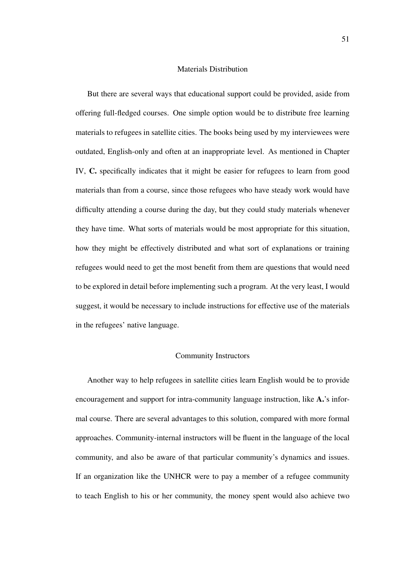# Materials Distribution

But there are several ways that educational support could be provided, aside from offering full-fledged courses. One simple option would be to distribute free learning materials to refugees in satellite cities. The books being used by my interviewees were outdated, English-only and often at an inappropriate level. As mentioned in Chapter IV, C. specifically indicates that it might be easier for refugees to learn from good materials than from a course, since those refugees who have steady work would have difficulty attending a course during the day, but they could study materials whenever they have time. What sorts of materials would be most appropriate for this situation, how they might be effectively distributed and what sort of explanations or training refugees would need to get the most benefit from them are questions that would need to be explored in detail before implementing such a program. At the very least, I would suggest, it would be necessary to include instructions for effective use of the materials in the refugees' native language.

# Community Instructors

Another way to help refugees in satellite cities learn English would be to provide encouragement and support for intra-community language instruction, like A.'s informal course. There are several advantages to this solution, compared with more formal approaches. Community-internal instructors will be fluent in the language of the local community, and also be aware of that particular community's dynamics and issues. If an organization like the UNHCR were to pay a member of a refugee community to teach English to his or her community, the money spent would also achieve two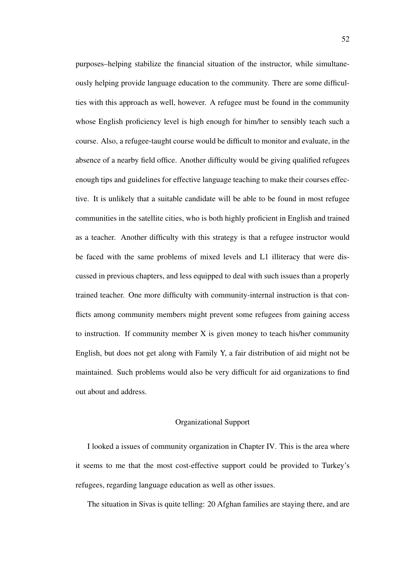purposes–helping stabilize the financial situation of the instructor, while simultaneously helping provide language education to the community. There are some difficulties with this approach as well, however. A refugee must be found in the community whose English proficiency level is high enough for him/her to sensibly teach such a course. Also, a refugee-taught course would be difficult to monitor and evaluate, in the absence of a nearby field office. Another difficulty would be giving qualified refugees enough tips and guidelines for effective language teaching to make their courses effective. It is unlikely that a suitable candidate will be able to be found in most refugee communities in the satellite cities, who is both highly proficient in English and trained as a teacher. Another difficulty with this strategy is that a refugee instructor would be faced with the same problems of mixed levels and L1 illiteracy that were discussed in previous chapters, and less equipped to deal with such issues than a properly trained teacher. One more difficulty with community-internal instruction is that conflicts among community members might prevent some refugees from gaining access to instruction. If community member  $X$  is given money to teach his/her community English, but does not get along with Family Y, a fair distribution of aid might not be maintained. Such problems would also be very difficult for aid organizations to find out about and address.

# Organizational Support

I looked a issues of community organization in Chapter IV. This is the area where it seems to me that the most cost-effective support could be provided to Turkey's refugees, regarding language education as well as other issues.

The situation in Sivas is quite telling: 20 Afghan families are staying there, and are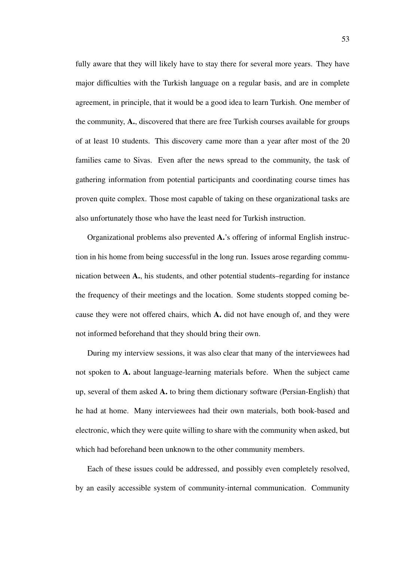fully aware that they will likely have to stay there for several more years. They have major difficulties with the Turkish language on a regular basis, and are in complete agreement, in principle, that it would be a good idea to learn Turkish. One member of the community, A., discovered that there are free Turkish courses available for groups of at least 10 students. This discovery came more than a year after most of the 20 families came to Sivas. Even after the news spread to the community, the task of gathering information from potential participants and coordinating course times has proven quite complex. Those most capable of taking on these organizational tasks are also unfortunately those who have the least need for Turkish instruction.

Organizational problems also prevented A.'s offering of informal English instruction in his home from being successful in the long run. Issues arose regarding communication between A., his students, and other potential students–regarding for instance the frequency of their meetings and the location. Some students stopped coming because they were not offered chairs, which A. did not have enough of, and they were not informed beforehand that they should bring their own.

During my interview sessions, it was also clear that many of the interviewees had not spoken to A. about language-learning materials before. When the subject came up, several of them asked A. to bring them dictionary software (Persian-English) that he had at home. Many interviewees had their own materials, both book-based and electronic, which they were quite willing to share with the community when asked, but which had beforehand been unknown to the other community members.

Each of these issues could be addressed, and possibly even completely resolved, by an easily accessible system of community-internal communication. Community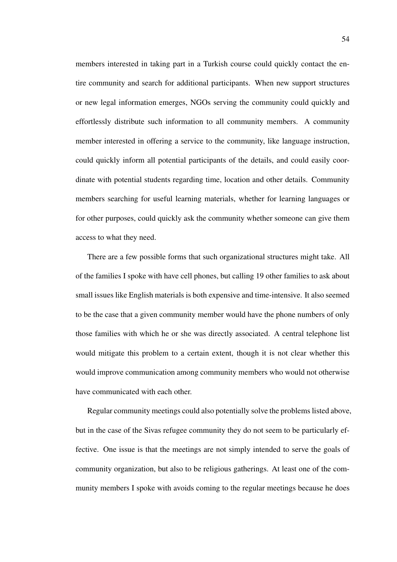members interested in taking part in a Turkish course could quickly contact the entire community and search for additional participants. When new support structures or new legal information emerges, NGOs serving the community could quickly and effortlessly distribute such information to all community members. A community member interested in offering a service to the community, like language instruction, could quickly inform all potential participants of the details, and could easily coordinate with potential students regarding time, location and other details. Community members searching for useful learning materials, whether for learning languages or for other purposes, could quickly ask the community whether someone can give them access to what they need.

There are a few possible forms that such organizational structures might take. All of the families I spoke with have cell phones, but calling 19 other families to ask about small issues like English materials is both expensive and time-intensive. It also seemed to be the case that a given community member would have the phone numbers of only those families with which he or she was directly associated. A central telephone list would mitigate this problem to a certain extent, though it is not clear whether this would improve communication among community members who would not otherwise have communicated with each other.

Regular community meetings could also potentially solve the problems listed above, but in the case of the Sivas refugee community they do not seem to be particularly effective. One issue is that the meetings are not simply intended to serve the goals of community organization, but also to be religious gatherings. At least one of the community members I spoke with avoids coming to the regular meetings because he does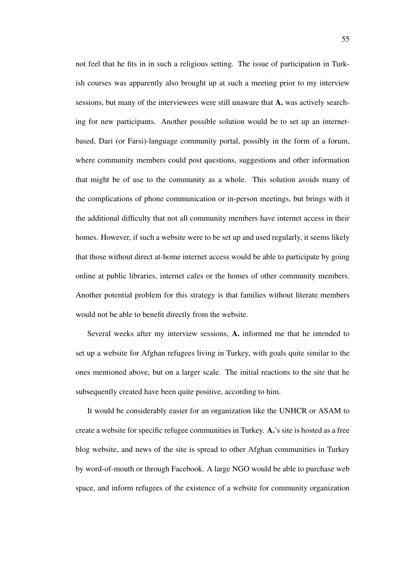not feel that he fits in in such a religious setting. The issue of participation in Turkish courses was apparently also brought up at such a meeting prior to my interview sessions, but many of the interviewees were still unaware that A. was actively searching for new participants. Another possible solution would be to set up an internetbased, Dari (or Farsi)-language community portal, possibly in the form of a forum, where community members could post questions, suggestions and other information that might be of use to the community as a whole. This solution avoids many of the complications of phone communication or in-person meetings, but brings with it the additional difficulty that not all community members have internet access in their homes. However, if such a website were to be set up and used regularly, it seems likely that those without direct at-home internet access would be able to participate by going online at public libraries, internet cafes or the homes of other community members. Another potential problem for this strategy is that families without literate members would not be able to benefit directly from the website.

Several weeks after my interview sessions, A. informed me that he intended to set up a website for Afghan refugees living in Turkey, with goals quite similar to the ones mentioned above, but on a larger scale. The initial reactions to the site that he subsequently created have been quite positive, according to him.

It would be considerably easier for an organization like the UNHCR or ASAM to create a website for specific refugee communities in Turkey. A.'s site is hosted as a free blog website, and news of the site is spread to other Afghan communities in Turkey by word-of-mouth or through Facebook. A large NGO would be able to purchase web space, and inform refugees of the existence of a website for community organization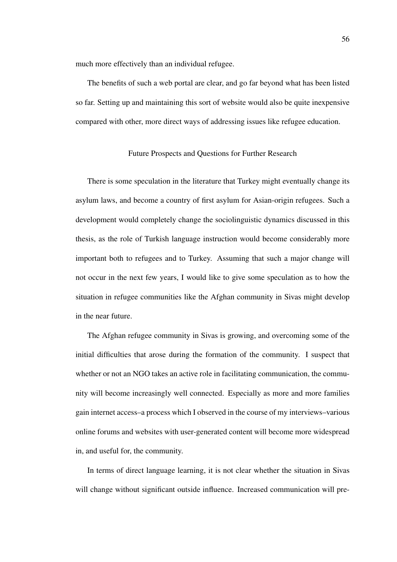much more effectively than an individual refugee.

The benefits of such a web portal are clear, and go far beyond what has been listed so far. Setting up and maintaining this sort of website would also be quite inexpensive compared with other, more direct ways of addressing issues like refugee education.

# Future Prospects and Questions for Further Research

There is some speculation in the literature that Turkey might eventually change its asylum laws, and become a country of first asylum for Asian-origin refugees. Such a development would completely change the sociolinguistic dynamics discussed in this thesis, as the role of Turkish language instruction would become considerably more important both to refugees and to Turkey. Assuming that such a major change will not occur in the next few years, I would like to give some speculation as to how the situation in refugee communities like the Afghan community in Sivas might develop in the near future.

The Afghan refugee community in Sivas is growing, and overcoming some of the initial difficulties that arose during the formation of the community. I suspect that whether or not an NGO takes an active role in facilitating communication, the community will become increasingly well connected. Especially as more and more families gain internet access–a process which I observed in the course of my interviews–various online forums and websites with user-generated content will become more widespread in, and useful for, the community.

In terms of direct language learning, it is not clear whether the situation in Sivas will change without significant outside influence. Increased communication will pre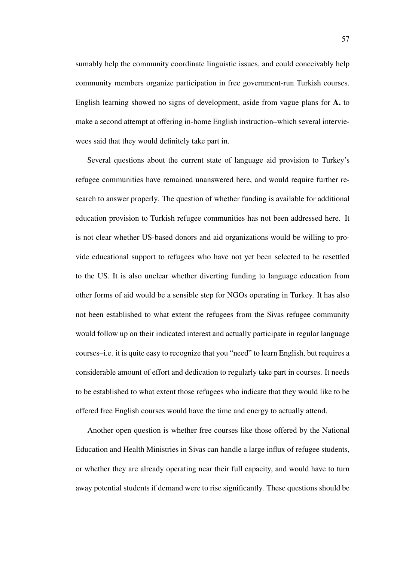sumably help the community coordinate linguistic issues, and could conceivably help community members organize participation in free government-run Turkish courses. English learning showed no signs of development, aside from vague plans for A. to make a second attempt at offering in-home English instruction–which several interviewees said that they would definitely take part in.

Several questions about the current state of language aid provision to Turkey's refugee communities have remained unanswered here, and would require further research to answer properly. The question of whether funding is available for additional education provision to Turkish refugee communities has not been addressed here. It is not clear whether US-based donors and aid organizations would be willing to provide educational support to refugees who have not yet been selected to be resettled to the US. It is also unclear whether diverting funding to language education from other forms of aid would be a sensible step for NGOs operating in Turkey. It has also not been established to what extent the refugees from the Sivas refugee community would follow up on their indicated interest and actually participate in regular language courses–i.e. it is quite easy to recognize that you "need" to learn English, but requires a considerable amount of effort and dedication to regularly take part in courses. It needs to be established to what extent those refugees who indicate that they would like to be offered free English courses would have the time and energy to actually attend.

Another open question is whether free courses like those offered by the National Education and Health Ministries in Sivas can handle a large influx of refugee students, or whether they are already operating near their full capacity, and would have to turn away potential students if demand were to rise significantly. These questions should be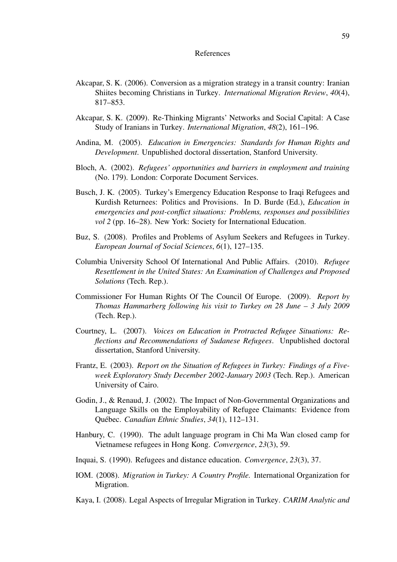#### References

- Akcapar, S. K. (2006). Conversion as a migration strategy in a transit country: Iranian Shiites becoming Christians in Turkey. *International Migration Review*, *40*(4), 817–853.
- Akcapar, S. K. (2009). Re-Thinking Migrants' Networks and Social Capital: A Case Study of Iranians in Turkey. *International Migration*, *48*(2), 161–196.
- Andina, M. (2005). *Education in Emergencies: Standards for Human Rights and Development*. Unpublished doctoral dissertation, Stanford University.
- Bloch, A. (2002). *Refugees' opportunities and barriers in employment and training* (No. 179). London: Corporate Document Services.
- Busch, J. K. (2005). Turkey's Emergency Education Response to Iraqi Refugees and Kurdish Returnees: Politics and Provisions. In D. Burde (Ed.), *Education in emergencies and post-conflict situations: Problems, responses and possibilities vol* 2 (pp. 16–28). New York: Society for International Education.
- Buz, S. (2008). Profiles and Problems of Asylum Seekers and Refugees in Turkey. *European Journal of Social Sciences*, *6*(1), 127–135.
- Columbia University School Of International And Public Affairs. (2010). *Refugee Resettlement in the United States: An Examination of Challenges and Proposed Solutions* (Tech. Rep.).
- Commissioner For Human Rights Of The Council Of Europe. (2009). *Report by Thomas Hammarberg following his visit to Turkey on 28 June – 3 July 2009* (Tech. Rep.).
- Courtney, L. (2007). *Voices on Education in Protracted Refugee Situations: Reflections and Recommendations of Sudanese Refugees*. Unpublished doctoral dissertation, Stanford University.
- Frantz, E. (2003). *Report on the Situation of Refugees in Turkey: Findings of a Fiveweek Exploratory Study December 2002-January 2003* (Tech. Rep.). American University of Cairo.
- Godin, J., & Renaud, J. (2002). The Impact of Non-Governmental Organizations and Language Skills on the Employability of Refugee Claimants: Evidence from Québec. *Canadian Ethnic Studies*, *34*(1), 112–131.
- Hanbury, C. (1990). The adult language program in Chi Ma Wan closed camp for Vietnamese refugees in Hong Kong. *Convergence*, *23*(3), 59.
- Inquai, S. (1990). Refugees and distance education. *Convergence*, *23*(3), 37.
- IOM. (2008). *Migration in Turkey: A Country Profile.* International Organization for Migration.
- Kaya, I. (2008). Legal Aspects of Irregular Migration in Turkey. *CARIM Analytic and*